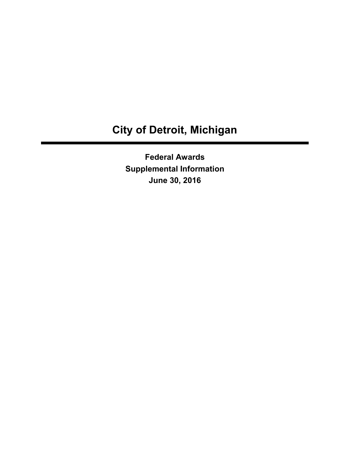# **City of Detroit, Michigan**

**Federal Awards Supplemental Information June 30, 2016**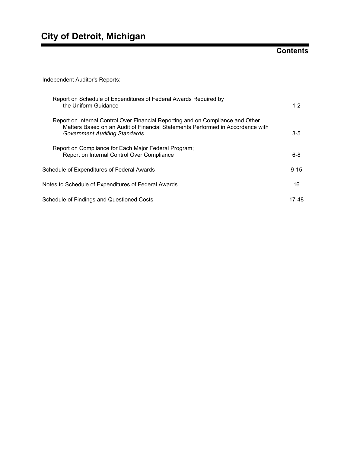## **Contents**

Independent Auditor's Reports:

| Report on Schedule of Expenditures of Federal Awards Required by<br>the Uniform Guidance                                                                                                                  | $1 - 2$  |
|-----------------------------------------------------------------------------------------------------------------------------------------------------------------------------------------------------------|----------|
| Report on Internal Control Over Financial Reporting and on Compliance and Other<br>Matters Based on an Audit of Financial Statements Performed in Accordance with<br><b>Government Auditing Standards</b> | $3 - 5$  |
| Report on Compliance for Each Major Federal Program;<br>Report on Internal Control Over Compliance                                                                                                        | $6 - 8$  |
| Schedule of Expenditures of Federal Awards                                                                                                                                                                | $9 - 15$ |
| Notes to Schedule of Expenditures of Federal Awards                                                                                                                                                       | 16       |
| Schedule of Findings and Questioned Costs                                                                                                                                                                 | 17-48    |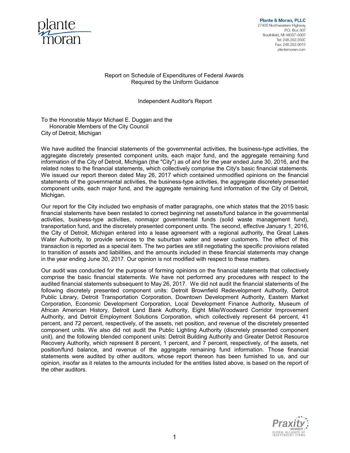

#### Report on Schedule of Expenditures of Federal Awards Required by the Uniform Guidance

#### Independent Auditor's Report

To the Honorable Mayor Michael E. Duggan and the Honorable Members of the City Council City of Detroit, Michigan

We have audited the financial statements of the governmental activities, the business-type activities, the aggregate discretely presented component units, each major fund, and the aggregate remaining fund information of the City of Detroit, Michigan (the "City") as of and for the year ended June 30, 2016, and the related notes to the financial statements, which collectively comprise the City's basic financial statements. We issued our report thereon dated May 26, 2017 which contained unmodified opinions on the financial statements of the governmental activities, the business-type activities, the aggregate discretely presented component units, each major fund, and the aggregate remaining fund information of the City of Detroit, Michigan.

Our report for the City included two emphasis of matter paragraphs, one which states that the 2015 basic financial statements have been restated to correct beginning net assets/fund balance in the governmental activities, business-type activities, nonmajor governmental funds (solid waste management fund), transportation fund, and the discretely presented component units. The second, effective January 1, 2016, the City of Detroit, Michigan entered into a lease agreement with a regional authority, the Great Lakes Water Authority, to provide services to the suburban water and sewer customers. The effect of this transaction is reported as a special item. The two parties are still negotiating the specific provisions related to transition of assets and liabilities, and the amounts included in these financial statements may change in the year ending June 30, 2017. Our opinion is not modified with respect to these matters.

Our audit was conducted for the purpose of forming opinions on the financial statements that collectively comprise the basic financial statements. We have not performed any procedures with respect to the audited financial statements subsequent to May 26, 2017. We did not audit the financial statements of the following discretely presented component units: Detroit Brownfield Redevelopment Authority, Detroit Public Library, Detroit Transportation Corporation, Downtown Development Authority, Eastern Market Corporation, Economic Development Corporation, Local Development Finance Authority, Museum of African American History, Detroit Land Bank Authority, Eight Mile/Woodward Corridor Improvement Authority, and Detroit Employment Solutions Corporation, which collectively represent 64 percent, 41 percent, and 72 percent, respectively, of the assets, net position, and revenue of the discretely presented component units. We also did not audit the Public Lighting Authority (discretely presented component unit), and the following blended component units: Detroit Building Authority and Greater Detroit Resource Recovery Authority, which represent 8 percent, 1 percent, and 7 percent, respectively, of the assets, net position/fund balance, and revenue of the aggregate remaining fund information. Those financial statements were audited by other auditors, whose report thereon has been furnished to us, and our opinion, insofar as it relates to the amounts included for the entities listed above, is based on the report of the other auditors.

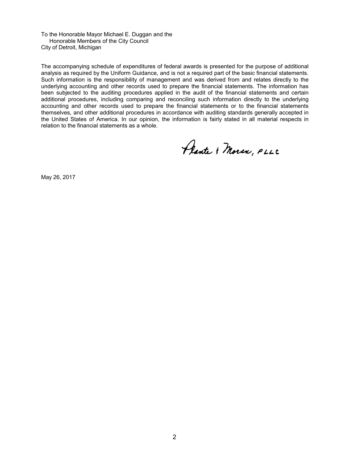To the Honorable Mayor Michael E. Duggan and the Honorable Members of the City Council City of Detroit, Michigan

The accompanying schedule of expenditures of federal awards is presented for the purpose of additional analysis as required by the Uniform Guidance, and is not a required part of the basic financial statements. Such information is the responsibility of management and was derived from and relates directly to the underlying accounting and other records used to prepare the financial statements. The information has been subjected to the auditing procedures applied in the audit of the financial statements and certain additional procedures, including comparing and reconciling such information directly to the underlying accounting and other records used to prepare the financial statements or to the financial statements themselves, and other additional procedures in accordance with auditing standards generally accepted in the United States of America. In our opinion, the information is fairly stated in all material respects in relation to the financial statements as a whole.

Plante & Moran, PLLC

May 26, 2017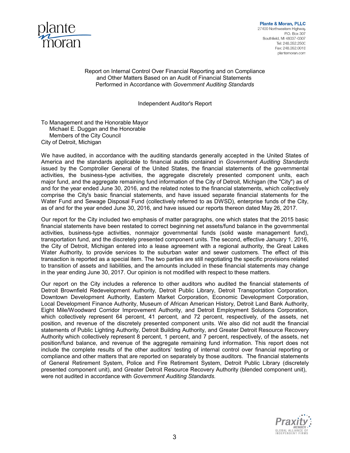

**Plante & Moran, PLLC** 27400 Northwestern Highway PO Box 307 Southfield, MI 48037-0307 Tel: 248 352 2500 Fax: 248.352.0018 plantemoran.com

#### Report on Internal Control Over Financial Reporting and on Compliance and Other Matters Based on an Audit of Financial Statements Performed in Accordance with *Government Auditing Standards*

Independent Auditor's Report

To Management and the Honorable Mayor Michael E. Duggan and the Honorable Members of the City Council City of Detroit, Michigan

We have audited, in accordance with the auditing standards generally accepted in the United States of America and the standards applicable to financial audits contained in *Government Auditing Standards* issued by the Comptroller General of the United States, the financial statements of the governmental activities, the business-type activities, the aggregate discretely presented component units, each major fund, and the aggregate remaining fund information of the City of Detroit, Michigan (the "City") as of and for the year ended June 30, 2016, and the related notes to the financial statements, which collectively comprise the City's basic financial statements, and have issued separate financial statements for the Water Fund and Sewage Disposal Fund (collectively referred to as DWSD), enterprise funds of the City, as of and for the year ended June 30, 2016, and have issued our reports thereon dated May 26, 2017.

Our report for the City included two emphasis of matter paragraphs, one which states that the 2015 basic financial statements have been restated to correct beginning net assets/fund balance in the governmental activities, business-type activities, nonmajor governmental funds (solid waste management fund), transportation fund, and the discretely presented component units. The second, effective January 1, 2016, the City of Detroit, Michigan entered into a lease agreement with a regional authority, the Great Lakes Water Authority, to provide services to the suburban water and sewer customers. The effect of this transaction is reported as a special item. The two parties are still negotiating the specific provisions related to transition of assets and liabilities, and the amounts included in these financial statements may change in the year ending June 30, 2017. Our opinion is not modified with respect to these matters.

Our report on the City includes a reference to other auditors who audited the financial statements of Detroit Brownfield Redevelopment Authority, Detroit Public Library, Detroit Transportation Corporation, Downtown Development Authority, Eastern Market Corporation, Economic Development Corporation, Local Development Finance Authority, Museum of African American History, Detroit Land Bank Authority, Eight Mile/Woodward Corridor Improvement Authority, and Detroit Employment Solutions Corporation, which collectively represent 64 percent, 41 percent, and 72 percent, respectively, of the assets, net position, and revenue of the discretely presented component units. We also did not audit the financial statements of Public Lighting Authority, Detroit Building Authority, and Greater Detroit Resource Recovery Authority which collectively represent 8 percent, 1 percent, and 7 percent, respectively, of the assets, net position/fund balance, and revenue of the aggregate remaining fund information. This report does not include the complete results of the other auditors' testing of internal control over financial reporting or compliance and other matters that are reported on separately by those auditors. The financial statements of General Retirement System, Police and Fire Retirement System, Detroit Public Library (discretely presented component unit), and Greater Detroit Resource Recovery Authority (blended component unit), were not audited in accordance with *Government Auditing Standards.*

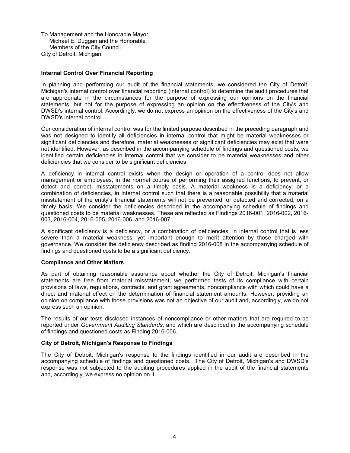To Management and the Honorable Mayor Michael E. Duggan and the Honorable Members of the City Council City of Detroit, Michigan

#### **Internal Control Over Financial Reporting**

In planning and performing our audit of the financial statements, we considered the City of Detroit, Michigan's internal control over financial reporting (internal control) to determine the audit procedures that are appropriate in the circumstances for the purpose of expressing our opinions on the financial statements, but not for the purpose of expressing an opinion on the effectiveness of the City's and DWSD's internal control. Accordingly, we do not express an opinion on the effectiveness of the City's and DWSD's internal control.

Our consideration of internal control was for the limited purpose described in the preceding paragraph and was not designed to identify all deficiencies in internal control that might be material weaknesses or significant deficiencies and therefore, material weaknesses or significant deficiencies may exist that were not identified. However, as described in the accompanying schedule of findings and questioned costs, we identified certain deficiencies in internal control that we consider to be material weaknesses and other deficiencies that we consider to be significant deficiencies.

A deficiency in internal control exists when the design or operation of a control does not allow management or employees, in the normal course of performing their assigned functions, to prevent, or detect and correct, misstatements on a timely basis. A material weakness is a deficiency, or a combination of deficiencies, in internal control such that there is a reasonable possibility that a material misstatement of the entity's financial statements will not be prevented, or detected and corrected, on a timely basis. We consider the deficiencies described in the accompanying schedule of findings and questioned costs to be material weaknesses. These are reflected as Findings 2016-001, 2016-002, 2016- 003, 2016-004, 2016-005, 2016-006, and 2016-007.

A significant deficiency is a deficiency, or a combination of deficiencies, in internal control that is less severe than a material weakness, yet important enough to merit attention by those charged with governance. We consider the deficiency described as finding 2016-008 in the accompanying schedule of findings and questioned costs to be a significant deficiency.

#### **Compliance and Other Matters**

As part of obtaining reasonable assurance about whether the City of Detroit, Michigan's financial statements are free from material misstatement, we performed tests of its compliance with certain provisions of laws, regulations, contracts, and grant agreements, noncompliance with which could have a direct and material effect on the determination of financial statement amounts. However, providing an opinion on compliance with those provisions was not an objective of our audit and, accordingly, we do not express such an opinion.

The results of our tests disclosed instances of noncompliance or other matters that are required to be reported under *Government Auditing Standards*, and which are described in the accompanying schedule of findings and questioned costs as Finding 2016-006.

#### **City of Detroit, Michigan's Response to Findings**

The City of Detroit, Michigan's response to the findings identified in our audit are described in the accompanying schedule of findings and questioned costs. The City of Detroit, Michigan's and DWSD's response was not subjected to the auditing procedures applied in the audit of the financial statements and, accordingly, we express no opinion on it.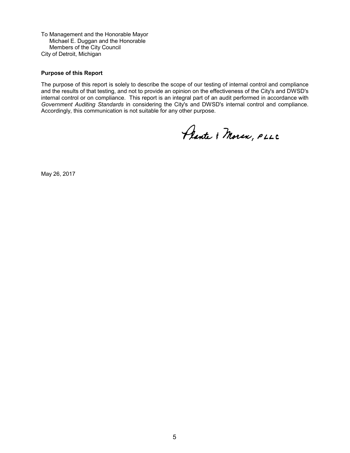To Management and the Honorable Mayor Michael E. Duggan and the Honorable Members of the City Council City of Detroit, Michigan

#### **Purpose of this Report**

The purpose of this report is solely to describe the scope of our testing of internal control and compliance and the results of that testing, and not to provide an opinion on the effectiveness of the City's and DWSD's internal control or on compliance. This report is an integral part of an audit performed in accordance with *Government Auditing Standards* in considering the City's and DWSD's internal control and compliance. Accordingly, this communication is not suitable for any other purpose.

Plante & Moran, PLLC

May 26, 2017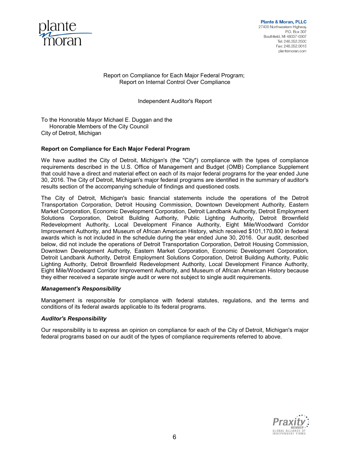

Report on Compliance for Each Major Federal Program; Report on Internal Control Over Compliance

Independent Auditor's Report

To the Honorable Mayor Michael E. Duggan and the Honorable Members of the City Council City of Detroit, Michigan

#### **Report on Compliance for Each Major Federal Program**

We have audited the City of Detroit, Michigan's (the "City") compliance with the types of compliance requirements described in the U.S. Office of Management and Budget (OMB) Compliance Supplement that could have a direct and material effect on each of its major federal programs for the year ended June 30, 2016. The City of Detroit, Michigan's major federal programs are identified in the summary of auditor's results section of the accompanying schedule of findings and questioned costs.

The City of Detroit, Michigan's basic financial statements include the operations of the Detroit Transportation Corporation, Detroit Housing Commission, Downtown Development Authority, Eastern Market Corporation, Economic Development Corporation, Detroit Landbank Authority, Detroit Employment Solutions Corporation, Detroit Building Authority, Public Lighting Authority, Detroit Brownfield Redevelopment Authority, Local Development Finance Authority, Eight Mile/Woodward Corridor Improvement Authority, and Museum of African American History, which received \$101,170,800 in federal awards which is not included in the schedule during the year ended June 30, 2016. Our audit, described below, did not include the operations of Detroit Transportation Corporation, Detroit Housing Commission, Downtown Development Authority, Eastern Market Corporation, Economic Development Corporation, Detroit Landbank Authority, Detroit Employment Solutions Corporation, Detroit Building Authority, Public Lighting Authority, Detroit Brownfield Redevelopment Authority, Local Development Finance Authority, Eight Mile/Woodward Corridor Improvement Authority, and Museum of African American History because they either received a separate single audit or were not subject to single audit requirements.

#### *Management's Responsibility*

Management is responsible for compliance with federal statutes, regulations, and the terms and conditions of its federal awards applicable to its federal programs.

#### *Auditor's Responsibility*

Our responsibility is to express an opinion on compliance for each of the City of Detroit, Michigan's major federal programs based on our audit of the types of compliance requirements referred to above.

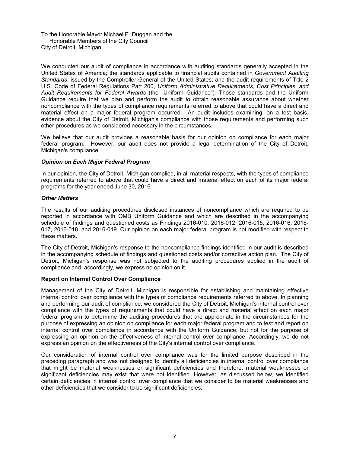To the Honorable Mayor Michael E. Duggan and the Honorable Members of the City Council City of Detroit, Michigan

We conducted our audit of compliance in accordance with auditing standards generally accepted in the United States of America; the standards applicable to financial audits contained in *Government Auditing Standards*, issued by the Comptroller General of the United States; and the audit requirements of Title 2 U.S. Code of Federal Regulations Part 200, *Uniform Administrative Requirements, Cost Principles, and Audit Requirements for Federal Awards* (the "Uniform Guidance")*.* Those standards and the Uniform Guidance require that we plan and perform the audit to obtain reasonable assurance about whether noncompliance with the types of compliance requirements referred to above that could have a direct and material effect on a major federal program occurred. An audit includes examining, on a test basis, evidence about the City of Detroit, Michigan's compliance with those requirements and performing such other procedures as we considered necessary in the circumstances.

We believe that our audit provides a reasonable basis for our opinion on compliance for each major federal program. However, our audit does not provide a legal determination of the City of Detroit, Michigan's compliance.

#### *Opinion on Each Major Federal Program*

In our opinion, the City of Detroit, Michigan complied, in all material respects, with the types of compliance requirements referred to above that could have a direct and material effect on each of its major federal programs for the year ended June 30, 2016.

#### *Other Matters*

The results of our auditing procedures disclosed instances of noncompliance which are required to be reported in accordance with OMB Uniform Guidance and which are described in the accompanying schedule of findings and questioned costs as Findings 2016-010, 2016-012, 2016-015, 2016-016, 2016- 017, 2016-018, and 2016-019. Our opinion on each major federal program is not modified with respect to these matters.

The City of Detroit, Michigan's response to the noncompliance findings identified in our audit is described in the accompanying schedule of findings and questioned costs and/or corrective action plan. The City of Detroit, Michigan's response was not subjected to the auditing procedures applied in the audit of compliance and, accordingly, we express no opinion on it.

#### **Report on Internal Control Over Compliance**

Management of the City of Detroit, Michigan is responsible for establishing and maintaining effective internal control over compliance with the types of compliance requirements referred to above. In planning and performing our audit of compliance, we considered the City of Detroit, Michigan's internal control over compliance with the types of requirements that could have a direct and material effect on each major federal program to determine the auditing procedures that are appropriate in the circumstances for the purpose of expressing an opinion on compliance for each major federal program and to test and report on internal control over compliance in accordance with the Uniform Guidance, but not for the purpose of expressing an opinion on the effectiveness of internal control over compliance. Accordingly, we do not express an opinion on the effectiveness of the City's internal control over compliance.

Our consideration of internal control over compliance was for the limited purpose described in the preceding paragraph and was not designed to identify all deficiencies in internal control over compliance that might be material weaknesses or significant deficiencies and therefore, material weaknesses or significant deficiencies may exist that were not identified. However, as discussed below, we identified certain deficiencies in internal control over compliance that we consider to be material weaknesses and other deficiencies that we consider to be significant deficiencies.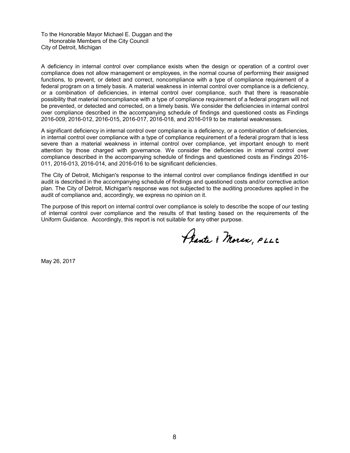To the Honorable Mayor Michael E. Duggan and the Honorable Members of the City Council City of Detroit, Michigan

A deficiency in internal control over compliance exists when the design or operation of a control over compliance does not allow management or employees, in the normal course of performing their assigned functions, to prevent, or detect and correct, noncompliance with a type of compliance requirement of a federal program on a timely basis. A material weakness in internal control over compliance is a deficiency, or a combination of deficiencies, in internal control over compliance, such that there is reasonable possibility that material noncompliance with a type of compliance requirement of a federal program will not be prevented, or detected and corrected, on a timely basis. We consider the deficiencies in internal control over compliance described in the accompanying schedule of findings and questioned costs as Findings 2016-009, 2016-012, 2016-015, 2016-017, 2016-018, and 2016-019 to be material weaknesses.

A significant deficiency in internal control over compliance is a deficiency, or a combination of deficiencies, in internal control over compliance with a type of compliance requirement of a federal program that is less severe than a material weakness in internal control over compliance, yet important enough to merit attention by those charged with governance. We consider the deficiencies in internal control over compliance described in the accompanying schedule of findings and questioned costs as Findings 2016- 011, 2016-013, 2016-014, and 2016-016 to be significant deficiencies.

The City of Detroit, Michigan's response to the internal control over compliance findings identified in our audit is described in the accompanying schedule of findings and questioned costs and/or corrective action plan. The City of Detroit, Michigan's response was not subjected to the auditing procedures applied in the audit of compliance and, accordingly, we express no opinion on it.

The purpose of this report on internal control over compliance is solely to describe the scope of our testing of internal control over compliance and the results of that testing based on the requirements of the Uniform Guidance. Accordingly, this report is not suitable for any other purpose.

Plante & Moran, PLLC

May 26, 2017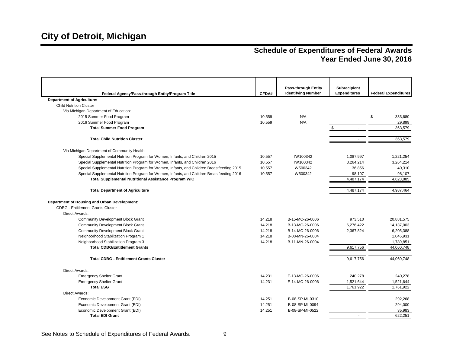| Federal Agency/Pass-through Entity/Program Title                                           | CFDA#  | <b>Pass-through Entity</b><br><b>Identifying Number</b> | Subrecipient<br><b>Expenditures</b> | <b>Federal Expenditures</b> |
|--------------------------------------------------------------------------------------------|--------|---------------------------------------------------------|-------------------------------------|-----------------------------|
| <b>Department of Agriculture:</b>                                                          |        |                                                         |                                     |                             |
| <b>Child Nutrition Cluster</b>                                                             |        |                                                         |                                     |                             |
| Via Michigan Department of Education:                                                      |        |                                                         |                                     |                             |
| 2015 Summer Food Program                                                                   | 10.559 | N/A                                                     |                                     | \$<br>333,680               |
| 2016 Summer Food Program                                                                   | 10.559 | N/A                                                     |                                     | 29,899                      |
| <b>Total Summer Food Program</b>                                                           |        |                                                         | S.<br>$\omega$                      | 363,579                     |
| <b>Total Child Nutrition Cluster</b>                                                       |        |                                                         |                                     | 363,579                     |
| Via Michigan Department of Community Health:                                               |        |                                                         |                                     |                             |
| Special Supplemental Nutrition Program for Women, Infants, and Children 2015               | 10.557 | IW100342                                                | 1,087,997                           | 1,221,254                   |
| Special Supplemental Nutrition Program for Women, Infants, and Children 2016               | 10.557 | IW100342                                                | 3,264,214                           | 3,264,214                   |
| Special Supplemental Nutrition Program for Women, Infants, and Children Breastfeeding 2015 | 10.557 | W500342                                                 | 36,856                              | 40,310                      |
| Special Supplemental Nutrition Program for Women, Infants, and Children Breastfeeding 2016 | 10.557 | W500342                                                 | 98,107                              | 98,107                      |
| <b>Total Supplemental Nutritional Assistance Program WIC</b>                               |        |                                                         | 4,487,174                           | 4,623,885                   |
|                                                                                            |        |                                                         |                                     |                             |
| <b>Total Department of Agriculture</b>                                                     |        |                                                         | 4,487,174                           | 4,987,464                   |
| Department of Housing and Urban Development:                                               |        |                                                         |                                     |                             |
| <b>CDBG - Entitlement Grants Cluster</b>                                                   |        |                                                         |                                     |                             |
| Direct Awards:                                                                             |        |                                                         |                                     |                             |
| Community Development Block Grant                                                          | 14.218 | B-15-MC-26-0006                                         | 973,510                             | 20,881,575                  |
| <b>Community Development Block Grant</b>                                                   | 14.218 | B-13-MC-26-0006                                         | 6,276,422                           | 14,137,003                  |
| <b>Community Development Block Grant</b>                                                   | 14.218 | B-14-MC-26-0006                                         | 2,367,824                           | 6,205,388                   |
| Neighborhood Stabilization Program 1                                                       | 14.218 | B-08-MN-26-0004                                         |                                     | 1,046,931                   |
| Neighborhood Stabilization Program 3                                                       | 14.218 | B-11-MN-26-0004                                         |                                     | 1,789,851                   |
| <b>Total CDBG/Entitlement Grants</b>                                                       |        |                                                         | 9,617,756                           | 44,060,748                  |
| <b>Total CDBG - Entitlement Grants Cluster</b>                                             |        |                                                         | 9,617,756                           | 44,060,748                  |
|                                                                                            |        |                                                         |                                     |                             |
| Direct Awards:                                                                             |        |                                                         |                                     |                             |
| <b>Emergency Shelter Grant</b>                                                             | 14.231 | E-13-MC-26-0006                                         | 240,278                             | 240,278                     |
| <b>Emergency Shelter Grant</b>                                                             | 14.231 | E-14-MC-26-0006                                         | 1,521,644                           | 1,521,644                   |
| <b>Total ESG</b>                                                                           |        |                                                         | 1,761,922                           | 1,761,922                   |
| <b>Direct Awards:</b>                                                                      |        |                                                         |                                     |                             |
| Economic Development Grant (EDI)                                                           | 14.251 | B-08-SP-MI-0310                                         |                                     | 292,268                     |
| Economic Development Grant (EDI)                                                           | 14.251 | B-08-SP-MI-0094                                         |                                     | 294,000                     |
| Economic Development Grant (EDI)                                                           | 14.251 | B-08-SP-MI-0522                                         |                                     | 35,983                      |
| <b>Total EDI Grant</b>                                                                     |        |                                                         |                                     | 622.251                     |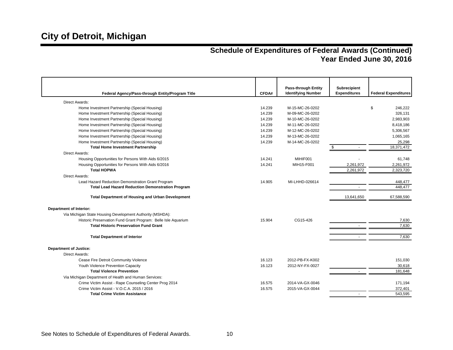|                                                               |        | <b>Pass-through Entity</b> | Subrecipient             |                             |
|---------------------------------------------------------------|--------|----------------------------|--------------------------|-----------------------------|
| Federal Agency/Pass-through Entity/Program Title              | CFDA#  | <b>Identifying Number</b>  | <b>Expenditures</b>      | <b>Federal Expenditures</b> |
| Direct Awards:                                                |        |                            |                          |                             |
| Home Investment Partnership (Special Housing)                 | 14.239 | M-15-MC-26-0202            |                          | \$<br>246,222               |
| Home Investment Partnership (Special Housing)                 | 14.239 | M-09-MC-26-0202            |                          | 326,131                     |
| Home Investment Partnership (Special Housing)                 | 14.239 | M-10-MC-26-0202            |                          | 2,983,903                   |
| Home Investment Partnership (Special Housing)                 | 14.239 | M-11-MC-26-0202            |                          | 8,418,186                   |
| Home Investment Partnership (Special Housing)                 | 14.239 | M-12-MC-26-0202            |                          | 5,306,567                   |
| Home Investment Partnership (Special Housing)                 | 14.239 | M-13-MC-26-0202            |                          | 1,065,165                   |
| Home Investment Partnership (Special Housing)                 | 14.239 | M-14-MC-26-0202            |                          | 25,298                      |
| <b>Total Home Investment Partnership</b>                      |        |                            | \$                       | 18,371,472                  |
| Direct Awards:                                                |        |                            |                          |                             |
| Housing Opportunities for Persons With Aids 6/2015            | 14.241 | MIHIF001                   |                          | 61,748                      |
| Housing Opportunities for Persons With Aids 6/2016            | 14.241 | MIH15-F001                 | 2,261,972                | 2,261,972                   |
| <b>Total HOPWA</b>                                            |        |                            | 2,261,972                | 2,323,720                   |
| Direct Awards:                                                |        |                            |                          |                             |
| Lead Hazard Reduction Demonstration Grant Program             | 14.905 | MI-LHHD-026614             |                          | 448,477                     |
| <b>Total Lead Hazard Reduction Demonstration Program</b>      |        |                            |                          | 448,477                     |
| <b>Total Department of Housing and Urban Development</b>      |        |                            | 13,641,650               | 67,588,590                  |
| <b>Department of Interior:</b>                                |        |                            |                          |                             |
| Via Michigan State Housing Development Authority (MSHDA):     |        |                            |                          |                             |
| Historic Preservation Fund Grant Program: Belle Isle Aquarium | 15.904 | CG15-426                   |                          | 7,630                       |
| <b>Total Historic Preservation Fund Grant</b>                 |        |                            |                          | 7,630                       |
|                                                               |        |                            |                          |                             |
| <b>Total Department of Interior</b>                           |        |                            | $\overline{\phantom{a}}$ | 7.630                       |
| <b>Department of Justice:</b>                                 |        |                            |                          |                             |
| Direct Awards:                                                |        |                            |                          |                             |
| Cease Fire Detroit Community Violence                         | 16.123 | 2012-PB-FX-K002            |                          | 151,030                     |
| Youth Violence Prevention Capacity                            | 16.123 | 2012-NY-FX-0027            |                          | 30,618                      |
| <b>Total Violence Prevention</b>                              |        |                            | $\sim$                   | 181,648                     |
| Via Michigan Department of Health and Human Services:         |        |                            |                          |                             |
| Crime Victim Assist - Rape Counseling Center Prog 2014        | 16.575 | 2014-VA-GX-0046            |                          | 171,194                     |
| Crime Victim Assist - V.O.C.A. 2015 / 2016                    | 16.575 | 2015-VA-GX-0044            |                          | 372,401                     |
| <b>Total Crime Victim Assistance</b>                          |        |                            |                          | 543.595                     |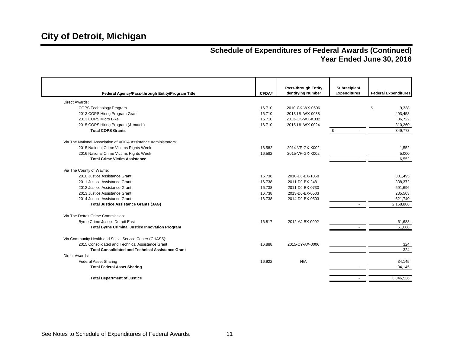|                                                                 |        | <b>Pass-through Entity</b> | <b>Subrecipient</b> |                             |
|-----------------------------------------------------------------|--------|----------------------------|---------------------|-----------------------------|
| Federal Agency/Pass-through Entity/Program Title                | CFDA#  | <b>Identifying Number</b>  | <b>Expenditures</b> | <b>Federal Expenditures</b> |
| <b>Direct Awards:</b>                                           |        |                            |                     |                             |
| COPS Technology Program                                         | 16.710 | 2010-CK-WX-0506            |                     | \$<br>9,338                 |
| 2013 COPS Hiring Program Grant                                  | 16.710 | 2013-UL-WX-0038            |                     | 493,458                     |
| 2013 COPS Micro Bike                                            | 16.710 | 2013-CK-WX-K032            |                     | 36,722                      |
| 2015 COPS Hiring Program (& match)                              | 16.710 | 2015-UL-WX-0024            |                     | 310,260                     |
| <b>Total COPS Grants</b>                                        |        |                            | \$                  | 849,778                     |
| Via The National Association of VOCA Assistance Administrators: |        |                            |                     |                             |
| 2015 National Crime Victims Rights Week                         | 16.582 | 2014-VF-GX-K002            |                     | 1,552                       |
| 2016 National Crime Victims Rights Week                         | 16.582 | 2015-VF-GX-K002            |                     | 5,000                       |
| <b>Total Crime Victim Assistance</b>                            |        |                            | $\sim$              | 6,552                       |
| Via The County of Wayne:                                        |        |                            |                     |                             |
| 2010 Justice Assistance Grant                                   | 16.738 | 2010-DJ-BX-1068            |                     | 381,495                     |
| 2011 Justice Assistance Grant                                   | 16.738 | 2011-DJ-BX-2481            |                     | 338,372                     |
| 2012 Justice Assistance Grant                                   | 16.738 | 2011-DJ-BX-0730            |                     | 591,696                     |
| 2013 Justice Assistance Grant                                   | 16.738 | 2013-DJ-BX-0503            |                     | 235,503                     |
| 2014 Justice Assistance Grant                                   | 16.738 | 2014-DJ-BX-0503            |                     | 621,740                     |
| <b>Total Justice Assistance Grants (JAG)</b>                    |        |                            |                     | 2,168,806                   |
| Via The Detroit Crime Commission:                               |        |                            |                     |                             |
| <b>Byrne Crime Justice Detroit East</b>                         | 16.817 | 2012-AJ-BX-0002            |                     | 61,688                      |
| <b>Total Byrne Criminal Justice Innovation Program</b>          |        |                            |                     | 61,688                      |
| Via Community Health and Social Service Center (CHASS):         |        |                            |                     |                             |
| 2015 Consolidated and Technical Assistance Grant                | 16.888 | 2015-CY-AX-0006            |                     | 324                         |
| <b>Total Consolidated and Technical Assistance Grant</b>        |        |                            |                     | 324                         |
| Direct Awards:                                                  |        |                            |                     |                             |
| <b>Federal Asset Sharing</b>                                    | 16.922 | N/A                        |                     | 34,145                      |
| <b>Total Federal Asset Sharing</b>                              |        |                            |                     | 34,145                      |
| <b>Total Department of Justice</b>                              |        |                            |                     | 3,846,536                   |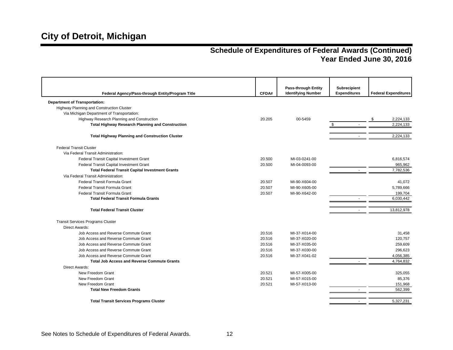| Federal Agency/Pass-through Entity/Program Title        | CFDA#  | <b>Pass-through Entity</b><br><b>Identifying Number</b> | Subrecipient<br><b>Expenditures</b> | <b>Federal Expenditures</b> |
|---------------------------------------------------------|--------|---------------------------------------------------------|-------------------------------------|-----------------------------|
| <b>Department of Transportation:</b>                    |        |                                                         |                                     |                             |
| Highway Planning and Construction Cluster               |        |                                                         |                                     |                             |
| Via Michigan Department of Transportation:              |        |                                                         |                                     |                             |
| Highway Research Planning and Construction              | 20.205 | 00-5459                                                 |                                     | 2,224,133<br>\$             |
| <b>Total Highway Research Planning and Construction</b> |        |                                                         | \$                                  | 2,224,133                   |
| <b>Total Highway Planning and Construction Cluster</b>  |        |                                                         |                                     | 2,224,133                   |
| <b>Federal Transit Cluster</b>                          |        |                                                         |                                     |                             |
| Via Federal Transit Administration:                     |        |                                                         |                                     |                             |
| Federal Transit Capital Investment Grant                | 20.500 | MI-03-0241-00                                           |                                     | 6,816,574                   |
| Federal Transit Capital Investment Grant                | 20.500 | MI-04-0093-00                                           |                                     | 965,962                     |
| <b>Total Federal Transit Capital Investment Grants</b>  |        |                                                         |                                     | 7,782,536                   |
| Via Federal Transit Administration:                     |        |                                                         |                                     |                             |
| Federal Transit Formula Grant                           | 20.507 | MI-90-X604-00                                           |                                     | 41,072                      |
| Federal Transit Formula Grant                           | 20.507 | MI-90-X605-00                                           |                                     | 5,789,666                   |
| Federal Transit Formula Grant                           | 20.507 | MI-90-X642-00                                           |                                     | 199.704                     |
| <b>Total Federal Transit Formula Grants</b>             |        |                                                         | $\sim$                              | 6,030,442                   |
| <b>Total Federal Transit Cluster</b>                    |        |                                                         | $\overline{\phantom{a}}$            | 13,812,978                  |
| <b>Transit Services Programs Cluster</b>                |        |                                                         |                                     |                             |
| <b>Direct Awards:</b>                                   |        |                                                         |                                     |                             |
| Job Access and Reverse Commute Grant                    | 20.516 | MI-37-X014-00                                           |                                     | 31,458                      |
| Job Access and Reverse Commute Grant                    | 20.516 | MI-37-X020-00                                           |                                     | 120,757                     |
| Job Access and Reverse Commute Grant                    | 20.516 | MI-37-X035-00                                           |                                     | 259,609                     |
| Job Access and Reverse Commute Grant                    | 20.516 | MI-37-X030-00                                           |                                     | 296,623                     |
| Job Access and Reverse Commute Grant                    | 20.516 | MI-37-X041-02                                           |                                     | 4,056,385                   |
| <b>Total Job Access and Reverse Commute Grants</b>      |        |                                                         |                                     | 4,764,832                   |
| <b>Direct Awards:</b>                                   |        |                                                         |                                     |                             |
| New Freedom Grant                                       | 20.521 | MI-57-X005-00                                           |                                     | 325,055                     |
| New Freedom Grant                                       | 20.521 | MI-57-X015-00                                           |                                     | 85,376                      |
| New Freedom Grant                                       | 20.521 | MI-57-X013-00                                           |                                     | 151,968                     |
| <b>Total New Freedom Grants</b>                         |        |                                                         | $\sim$                              | 562,399                     |
| <b>Total Transit Services Programs Cluster</b>          |        |                                                         | $\overline{\phantom{a}}$            | 5,327,231                   |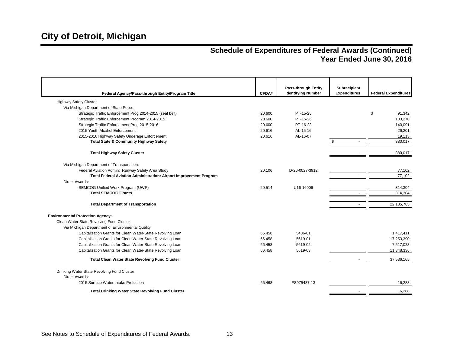|                                                                    |        | <b>Pass-through Entity</b> | Subrecipient<br><b>Expenditures</b> | <b>Federal Expenditures</b> |
|--------------------------------------------------------------------|--------|----------------------------|-------------------------------------|-----------------------------|
| Federal Agency/Pass-through Entity/Program Title                   | CFDA#  | <b>Identifying Number</b>  |                                     |                             |
| <b>Highway Safety Cluster</b>                                      |        |                            |                                     |                             |
| Via Michigan Department of State Police:                           |        |                            |                                     |                             |
| Strategic Traffic Enforcement Prog 2014-2015 (seat belt)           | 20.600 | PT-15-25                   |                                     | \$<br>91,342                |
| Strategic Traffic Enforcement Program 2014-2015                    | 20.600 | PT-15-26                   |                                     | 103,270                     |
| Strategic Traffic Enforcement Prog 2015-2016                       | 20.600 | PT-16-23                   |                                     | 140,091                     |
| 2015 Youth Alcohol Enforcement                                     | 20.616 | AL-15-16                   |                                     | 26,201                      |
| 2015-2016 Highway Safety Underage Enforcement                      | 20.616 | AL-16-07                   |                                     | 19,113                      |
| <b>Total State &amp; Community Highway Safety</b>                  |        |                            | S.                                  | 380.017                     |
|                                                                    |        |                            |                                     |                             |
| <b>Total Highway Safety Cluster</b>                                |        |                            | $\sim$                              | 380,017                     |
| Via Michigan Department of Transportation:                         |        |                            |                                     |                             |
| Federal Aviation Admin: Runway Safety Area Study                   | 20.106 | D-26-0027-3912             |                                     | 77,102                      |
| Total Federal Aviation Administration: Airport Improvement Program |        |                            |                                     | 77,102                      |
| <b>Direct Awards:</b>                                              |        |                            |                                     |                             |
| SEMCOG Unified Work Program (UWP)                                  | 20.514 | U16-16006                  |                                     | 314,304                     |
| <b>Total SEMCOG Grants</b>                                         |        |                            |                                     | 314,304                     |
|                                                                    |        |                            |                                     |                             |
| <b>Total Department of Transportation</b>                          |        |                            | $\sim$                              | 22,135,765                  |
| <b>Environmental Protection Agency:</b>                            |        |                            |                                     |                             |
| Clean Water State Revolving Fund Cluster                           |        |                            |                                     |                             |
| Via Michigan Department of Environmental Quality:                  |        |                            |                                     |                             |
| Capitalization Grants for Clean Water-State Revolving Loan         | 66.458 | 5486-01                    |                                     | 1.417.411                   |
| Capitalization Grants for Clean Water-State Revolving Loan         | 66.458 | 5619-01                    |                                     | 17,253,390                  |
| Capitalization Grants for Clean Water-State Revolving Loan         | 66.458 | 5619-02                    |                                     | 7,517,028                   |
| Capitalization Grants for Clean Water-State Revolving Loan         | 66.458 | 5619-03                    |                                     | 11,348,336                  |
| <b>Total Clean Water State Revolving Fund Cluster</b>              |        |                            |                                     | 37,536,165                  |
|                                                                    |        |                            |                                     |                             |
| Drinking Water State Revolving Fund Cluster<br>Direct Awards:      |        |                            |                                     |                             |
|                                                                    |        | FS975487-13                |                                     |                             |
| 2015 Surface Water Intake Protection                               | 66.468 |                            |                                     | 16,288                      |
| <b>Total Drinking Water State Revolving Fund Cluster</b>           |        |                            |                                     | 16.288                      |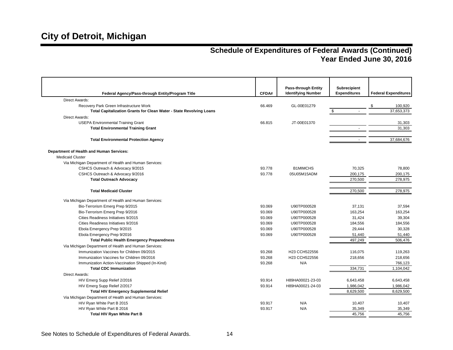| Federal Agency/Pass-through Entity/Program Title                           | CFDA#  | <b>Pass-through Entity</b><br><b>Identifying Number</b> | <b>Subrecipient</b><br><b>Expenditures</b> | <b>Federal Expenditures</b> |
|----------------------------------------------------------------------------|--------|---------------------------------------------------------|--------------------------------------------|-----------------------------|
| <b>Direct Awards:</b>                                                      |        |                                                         |                                            |                             |
| Recovery Park Green Infrastructure Work                                    | 66.469 | GL-00E01279                                             |                                            | 100,920<br>\$               |
| <b>Total Capitalization Grants for Clean Water - State Revolving Loans</b> |        |                                                         |                                            | 37,653,373                  |
| Direct Awards:                                                             |        |                                                         |                                            |                             |
| <b>USEPA Environmental Training Grant</b>                                  | 66.815 | JT-00E01370                                             |                                            | 31,303                      |
| <b>Total Environmental Training Grant</b>                                  |        |                                                         |                                            | 31,303                      |
| <b>Total Environmental Protection Agency</b>                               |        |                                                         |                                            | 37,684,676                  |
| Department of Health and Human Services:                                   |        |                                                         |                                            |                             |
| <b>Medicaid Cluster</b>                                                    |        |                                                         |                                            |                             |
| Via Michigan Department of Health and Human Services:                      |        |                                                         |                                            |                             |
| CSHCS Outreach & Advocacy 9/2015                                           | 93.778 | <b>B1MIMCHS</b>                                         | 70,325                                     | 78,800                      |
| CSHCS Outreach & Advocacy 9/2016                                           | 93.778 | 05U05M15ADM                                             | 200,175                                    | 200,175                     |
| <b>Total Outreach Advocacy</b>                                             |        |                                                         | 270,500                                    | 278,975                     |
| <b>Total Medicaid Cluster</b>                                              |        |                                                         | 270,500                                    | 278,975                     |
| Via Michigan Department of Health and Human Services:                      |        |                                                         |                                            |                             |
| Bio-Terrorism Emerg Prep 9/2015                                            | 93.069 | U90TP000528                                             | 37,131                                     | 37,594                      |
| Bio-Terrorism Emerg Prep 9/2016                                            | 93.069 | U90TP000528                                             | 163,254                                    | 163,254                     |
| Cities Readiness Initiatives 9/2015                                        | 93.069 | U90TP000528                                             | 31,424                                     | 39,304                      |
| Cities Readiness Initiatives 9/2016                                        | 93.069 | U90TP000528                                             | 184,556                                    | 184,556                     |
| Ebola Emergency Prep 9/2015                                                | 93.069 | U90TP000528                                             | 29,444                                     | 30.328                      |
| Ebola Emergency Prep 9/2016                                                | 93.069 | U90TP000528                                             | 51,440                                     | 51,440                      |
| <b>Total Public Health Emergency Preparedness</b>                          |        |                                                         | 497,249                                    | 506,476                     |
| Via Michigan Department of Health and Human Services:                      |        |                                                         |                                            |                             |
| Immunization Vaccines for Children 09/2015                                 | 93.268 | H23 CCH522556                                           | 116,075                                    | 119,263                     |
| Immunization Vaccines for Children 09/2016                                 | 93.268 | H23 CCH522556                                           | 218,656                                    | 218,656                     |
| Immunization Action-Vaccination Shipped (In-Kind)                          | 93.268 | N/A                                                     |                                            | 766,123                     |
| <b>Total CDC Immunization</b>                                              |        |                                                         | 334,731                                    | 1,104,042                   |
| <b>Direct Awards:</b>                                                      |        |                                                         |                                            |                             |
| HIV Emerg Supp Relief 2/2016                                               | 93.914 | H89HA00021-23-03                                        | 6,643,458                                  | 6,643,458                   |
| HIV Emerg Supp Relief 2/2017                                               | 93.914 | H89HA00021-24-03                                        | 1,986,042                                  | 1,986,042                   |
| <b>Total HIV Emergency Supplemental Relief</b>                             |        |                                                         | 8,629,500                                  | 8,629,500                   |
| Via Michigan Department of Health and Human Services:                      |        |                                                         |                                            |                             |
| HIV Ryan White Part B 2015                                                 | 93.917 | N/A                                                     | 10,407                                     | 10,407                      |
| HIV Ryan White Part B 2016                                                 | 93.917 | N/A                                                     | 35,349                                     | 35,349                      |
| <b>Total HIV Ryan White Part B</b>                                         |        |                                                         | 45,756                                     | 45,756                      |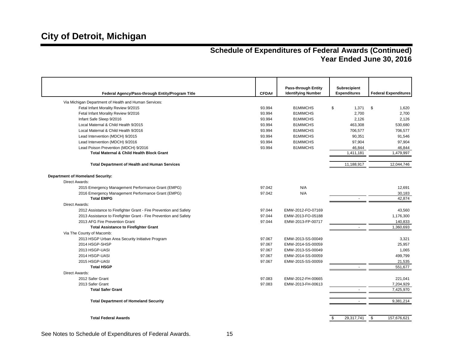| Federal Agency/Pass-through Entity/Program Title                  | CFDA#  | <b>Pass-through Entity</b><br><b>Identifying Number</b> | <b>Subrecipient</b><br><b>Expenditures</b> | <b>Federal Expenditures</b> |
|-------------------------------------------------------------------|--------|---------------------------------------------------------|--------------------------------------------|-----------------------------|
| Via Michigan Department of Health and Human Services:             |        |                                                         |                                            |                             |
| Fetal Infant Morality Review 9/2015                               | 93.994 | <b>B1MIMCHS</b>                                         | \$<br>1,371                                | \$<br>1,620                 |
| Fetal Infant Morality Review 9/2016                               | 93.994 | <b>B1MIMCHS</b>                                         | 2,700                                      | 2,700                       |
| Infant Safe Sleep 9/2016                                          | 93.994 | <b>B1MIMCHS</b>                                         | 2,126                                      | 2,126                       |
| Local Maternal & Child Health 9/2015                              | 93.994 | <b>B1MIMCHS</b>                                         | 463,308                                    | 530,680                     |
| Local Maternal & Child Health 9/2016                              | 93.994 | <b>B1MIMCHS</b>                                         | 706,577                                    | 706,577                     |
| Lead Intervention (MDCH) 9/2015                                   | 93.994 | <b>B1MIMCHS</b>                                         | 90,351                                     | 91,546                      |
| Lead Intervention (MDCH) 9/2016                                   | 93.994 | <b>B1MIMCHS</b>                                         | 97,904                                     | 97,904                      |
| Lead Poison Prevention (MDCH) 9/2016                              | 93.994 | <b>B1MIMCHS</b>                                         | 46,844                                     | 46,844                      |
| Total Maternal & Child Health Block Grant                         |        |                                                         | 1,411,181                                  | 1,479,997                   |
| <b>Total Department of Health and Human Services</b>              |        |                                                         | 11,188,917                                 | 12,044,746                  |
| <b>Department of Homeland Security:</b>                           |        |                                                         |                                            |                             |
| <b>Direct Awards:</b>                                             |        |                                                         |                                            |                             |
| 2015 Emergency Management Performance Grant (EMPG)                | 97.042 | N/A                                                     |                                            | 12,691                      |
| 2016 Emergency Management Performance Grant (EMPG)                | 97.042 | N/A                                                     |                                            | 30,183                      |
| <b>Total EMPG</b>                                                 |        |                                                         |                                            | 42,874                      |
| <b>Direct Awards:</b>                                             |        |                                                         |                                            |                             |
| 2012 Assistance to Firefighter Grant - Fire Prevention and Safety | 97.044 | EMW-2012-FO-07169                                       |                                            | 43,560                      |
| 2013 Assistance to Firefighter Grant - Fire Prevention and Safety | 97.044 | EMW-2013-FO-05188                                       |                                            | 1,176,300                   |
| 2013 AFG Fire Prevention Grant                                    | 97.044 | EMW-2013-FP-00717                                       |                                            | 140,833                     |
| <b>Total Assistance to Firefighter Grant</b>                      |        |                                                         | ÷.                                         | 1,360,693                   |
| Via The County of Macomb:                                         |        |                                                         |                                            |                             |
| 2013 HSGP Urban Area Security Initiative Program                  | 97.067 | EMW-2013-SS-00049                                       |                                            | 3,321                       |
| 2014 HSGP-SHSP                                                    | 97.067 | EMW-2014-SS-00059                                       |                                            | 25,957                      |
| 2013 HSGP-UASI                                                    | 97.067 | EMW-2013-SS-00049                                       |                                            | 1,065                       |
| 2014 HSGP-UASI                                                    | 97.067 | EMW-2014-SS-00059                                       |                                            | 499,799                     |
| 2015 HSGP-UASI                                                    | 97.067 | EMW-2015-SS-00059                                       |                                            | 21,535                      |
| <b>Total HSGP</b>                                                 |        |                                                         | ÷.                                         | 551,677                     |
| <b>Direct Awards:</b>                                             |        |                                                         |                                            |                             |
| 2012 Safer Grant                                                  | 97.083 | EMW-2012-FH-00665                                       |                                            | 221,041                     |
| 2013 Safer Grant                                                  | 97.083 | EMW-2013-FH-00613                                       |                                            | 7,204,929                   |
| <b>Total Safer Grant</b>                                          |        |                                                         | ÷.                                         | 7,425,970                   |
| <b>Total Department of Homeland Security</b>                      |        |                                                         |                                            | 9,381,214                   |
| <b>Total Federal Awards</b>                                       |        |                                                         | \$<br>29,317,741                           | \$<br>157,676,621           |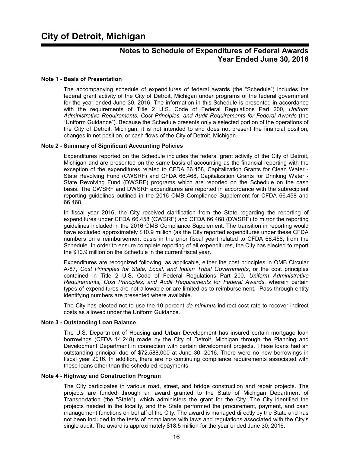### **Notes to Schedule of Expenditures of Federal Awards Year Ended June 30, 2016**

#### **Note 1 - Basis of Presentation**

The accompanying schedule of expenditures of federal awards (the "Schedule") includes the federal grant activity of the City of Detroit, Michigan under programs of the federal government for the year ended June 30, 2016. The information in this Schedule is presented in accordance with the requirements of Title 2 U.S. Code of Federal Regulations Part 200, *Uniform Administrative Requirements, Cost Principles, and Audit Requirements for Federal Awards* (the "Uniform Guidance"). Because the Schedule presents only a selected portion of the operations of the City of Detroit, Michigan, it is not intended to and does not present the financial position, changes in net position, or cash flows of the City of Detroit, Michigan.

#### **Note 2 - Summary of Significant Accounting Policies**

Expenditures reported on the Schedule includes the federal grant activity of the City of Detroit, Michigan and are presented on the same basis of accounting as the financial reporting with the exception of the expenditures related to CFDA 66.458, Capitalization Grants for Clean Water - State Revolving Fund (CWSRF) and CFDA 66.468, Capitalization Grants for Drinking Water - State Revolving Fund (DWSRF) programs which are reported on the Schedule on the cash basis. The CWSRF and DWSRF expenditures are reported in accordance with the subrecipient reporting guidelines outlined in the 2016 OMB Compliance Supplement for CFDA 66.458 and 66.468.

In fiscal year 2016, the City received clarification from the State regarding the reporting of expenditures under CFDA 66.458 (CWSRF) and CFDA 66.468 (DWSRF) to mirror the reporting guidelines included in the 2016 OMB Compliance Supplement. The transition in reporting would have excluded approximately \$10.9 million (as the City reported expenditures under these CFDA numbers on a reimbursement basis in the prior fiscal year) related to CFDA 66.458, from the Schedule. In order to ensure complete reporting of all expenditures, the City has elected to report the \$10.9 million on the Schedule in the current fiscal year.

Expenditures are recognized following, as applicable, either the cost principles in OMB Circular A-87, *Cost Principles for State, Local, and Indian Tribal Governments*, or the cost principles contained in Title 2 U.S. Code of Federal Regulations Part 200*, Uniform Administrative Requirements, Cost Principles, and Audit Requirements for Federal Awards*, wherein certain types of expenditures are not allowable or are limited as to reimbursement. Pass-through entity identifying numbers are presented where available.

The City has elected not to use the 10 percent *de minimus* indirect cost rate to recover indirect costs as allowed under the Uniform Guidance.

#### **Note 3 - Outstanding Loan Balance**

The U.S. Department of Housing and Urban Development has insured certain mortgage loan borrowings (CFDA 14.248) made by the City of Detroit, Michigan through the Planning and Development Department in connection with certain development projects. These loans had an outstanding principal due of \$72,588,000 at June 30, 2016. There were no new borrowings in fiscal year 2016. In addition, there are no continuing compliance requirements associated with these loans other than the scheduled repayments.

#### **Note 4 - Highway and Construction Program**

The City participates in various road, street, and bridge construction and repair projects. The projects are funded through an award granted to the State of Michigan Department of Transportation (the "State"), which administers the grant for the City. The City identified the projects needed in the locality, and the State performed the procurement, payment, and cash management functions on behalf of the City. The award is managed directly by the State and has not been included in the tests of compliance with laws and regulations associated with the City's single audit. The award is approximately \$18.5 million for the year ended June 30, 2016.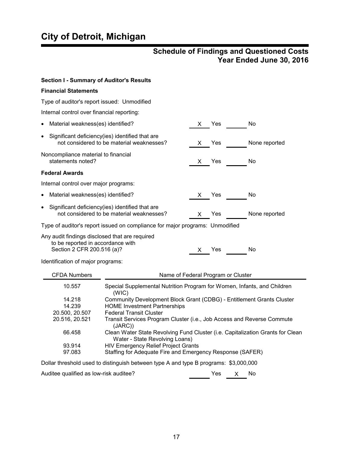# **City of Detroit, Michigan**

### **Schedule of Findings and Questioned Costs Year Ended June 30, 2016**

| <b>Section I - Summary of Auditor's Results</b>                                                                                                                                                                                                                                            |                                                                                                                                                                                                                                       |    |                                    |               |  |  |
|--------------------------------------------------------------------------------------------------------------------------------------------------------------------------------------------------------------------------------------------------------------------------------------------|---------------------------------------------------------------------------------------------------------------------------------------------------------------------------------------------------------------------------------------|----|------------------------------------|---------------|--|--|
| <b>Financial Statements</b>                                                                                                                                                                                                                                                                |                                                                                                                                                                                                                                       |    |                                    |               |  |  |
|                                                                                                                                                                                                                                                                                            | Type of auditor's report issued: Unmodified                                                                                                                                                                                           |    |                                    |               |  |  |
| Internal control over financial reporting:                                                                                                                                                                                                                                                 |                                                                                                                                                                                                                                       |    |                                    |               |  |  |
| Material weakness(es) identified?                                                                                                                                                                                                                                                          |                                                                                                                                                                                                                                       | X. | Yes                                | No            |  |  |
| $\bullet$                                                                                                                                                                                                                                                                                  | Significant deficiency(ies) identified that are<br>not considered to be material weaknesses?                                                                                                                                          | X. | Yes                                | None reported |  |  |
| Noncompliance material to financial<br>statements noted?                                                                                                                                                                                                                                   |                                                                                                                                                                                                                                       | X. | Yes                                | No            |  |  |
| <b>Federal Awards</b>                                                                                                                                                                                                                                                                      |                                                                                                                                                                                                                                       |    |                                    |               |  |  |
| Internal control over major programs:                                                                                                                                                                                                                                                      |                                                                                                                                                                                                                                       |    |                                    |               |  |  |
| Material weakness(es) identified?<br>٠                                                                                                                                                                                                                                                     |                                                                                                                                                                                                                                       | X. | <b>Yes</b>                         | No            |  |  |
| Significant deficiency(ies) identified that are<br>$\bullet$<br>not considered to be material weaknesses?<br>None reported<br>Yes<br>X                                                                                                                                                     |                                                                                                                                                                                                                                       |    |                                    |               |  |  |
|                                                                                                                                                                                                                                                                                            | Type of auditor's report issued on compliance for major programs: Unmodified                                                                                                                                                          |    |                                    |               |  |  |
| Any audit findings disclosed that are required<br>to be reported in accordance with<br>Section 2 CFR 200.516 (a)?<br>No<br>Yes<br>X.                                                                                                                                                       |                                                                                                                                                                                                                                       |    |                                    |               |  |  |
| Identification of major programs:                                                                                                                                                                                                                                                          |                                                                                                                                                                                                                                       |    |                                    |               |  |  |
| <b>CFDA Numbers</b>                                                                                                                                                                                                                                                                        |                                                                                                                                                                                                                                       |    | Name of Federal Program or Cluster |               |  |  |
| 10.557                                                                                                                                                                                                                                                                                     | Special Supplemental Nutrition Program for Women, Infants, and Children<br>(WIC)                                                                                                                                                      |    |                                    |               |  |  |
| 14.218<br>Community Development Block Grant (CDBG) - Entitlement Grants Cluster<br>14.239<br><b>HOME Investment Partnerships</b><br>20.500, 20.507<br><b>Federal Transit Cluster</b><br>20.516, 20.521<br>Transit Services Program Cluster (i.e., Job Access and Reverse Commute<br>(JARC) |                                                                                                                                                                                                                                       |    |                                    |               |  |  |
| 93.914<br>97.083                                                                                                                                                                                                                                                                           | 66.458<br>Clean Water State Revolving Fund Cluster (i.e. Capitalization Grants for Clean<br>Water - State Revolving Loans)<br><b>HIV Emergency Relief Project Grants</b><br>Staffing for Adequate Fire and Emergency Response (SAFER) |    |                                    |               |  |  |
|                                                                                                                                                                                                                                                                                            | Dollar threshold used to distinguish between type A and type B programs: \$3,000,000                                                                                                                                                  |    |                                    |               |  |  |
| Auditee qualified as low-risk auditee?                                                                                                                                                                                                                                                     |                                                                                                                                                                                                                                       |    | Yes<br>X                           | No            |  |  |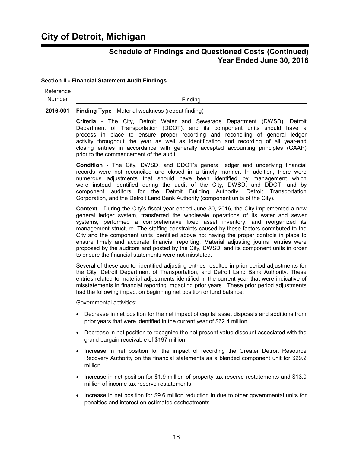#### **Section II - Financial Statement Audit Findings**

| Reference |         |
|-----------|---------|
| Number    | Finding |

#### **2016-001 Finding Type** - Material weakness (repeat finding)

**Criteria** - The City, Detroit Water and Sewerage Department (DWSD), Detroit Department of Transportation (DDOT), and its component units should have a process in place to ensure proper recording and reconciling of general ledger activity throughout the year as well as identification and recording of all year-end closing entries in accordance with generally accepted accounting principles (GAAP) prior to the commencement of the audit.

**Condition** - The City, DWSD, and DDOT's general ledger and underlying financial records were not reconciled and closed in a timely manner. In addition, there were numerous adjustments that should have been identified by management which were instead identified during the audit of the City, DWSD, and DDOT, and by component auditors for the Detroit Building Authority, Detroit Transportation Corporation, and the Detroit Land Bank Authority (component units of the City).

**Context** - During the City's fiscal year ended June 30, 2016, the City implemented a new general ledger system, transferred the wholesale operations of its water and sewer systems, performed a comprehensive fixed asset inventory, and reorganized its management structure. The staffing constraints caused by these factors contributed to the City and the component units identified above not having the proper controls in place to ensure timely and accurate financial reporting. Material adjusting journal entries were proposed by the auditors and posted by the City, DWSD, and its component units in order to ensure the financial statements were not misstated.

Several of these auditor-identified adjusting entries resulted in prior period adjustments for the City, Detroit Department of Transportation, and Detroit Land Bank Authority. These entries related to material adjustments identified in the current year that were indicative of misstatements in financial reporting impacting prior years. These prior period adjustments had the following impact on beginning net position or fund balance:

Governmental activities:

- Decrease in net position for the net impact of capital asset disposals and additions from prior years that were identified in the current year of \$62.4 million
- Decrease in net position to recognize the net present value discount associated with the grand bargain receivable of \$197 million
- Increase in net position for the impact of recording the Greater Detroit Resource Recovery Authority on the financial statements as a blended component unit for \$29.2 million
- Increase in net position for \$1.9 million of property tax reserve restatements and \$13.0 million of income tax reserve restatements
- Increase in net position for \$9.6 million reduction in due to other governmental units for penalties and interest on estimated escheatments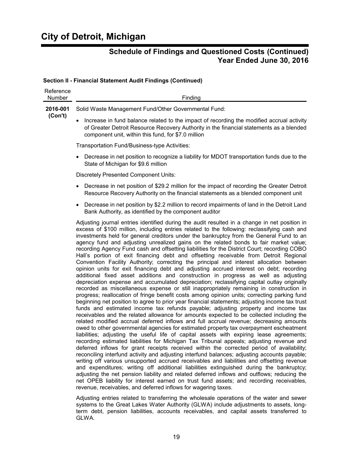#### **Section II - Financial Statement Audit Findings (Continued)**

| Reference<br>Number | Finding                                                                                                                                                                                                                                                                                                                                                                                                                                                                                                                                                                                                                                                                                                                                                                                                                                                                                                                                                                                                                                                                                                                                                                                                                                                                                                                                                                                                                                                                                                                                                                                                                                                                                                                                                                                                                                                                                                                                                                                                                                                                                                                                                                                                                                                                                                                                                                                                                                                         |
|---------------------|-----------------------------------------------------------------------------------------------------------------------------------------------------------------------------------------------------------------------------------------------------------------------------------------------------------------------------------------------------------------------------------------------------------------------------------------------------------------------------------------------------------------------------------------------------------------------------------------------------------------------------------------------------------------------------------------------------------------------------------------------------------------------------------------------------------------------------------------------------------------------------------------------------------------------------------------------------------------------------------------------------------------------------------------------------------------------------------------------------------------------------------------------------------------------------------------------------------------------------------------------------------------------------------------------------------------------------------------------------------------------------------------------------------------------------------------------------------------------------------------------------------------------------------------------------------------------------------------------------------------------------------------------------------------------------------------------------------------------------------------------------------------------------------------------------------------------------------------------------------------------------------------------------------------------------------------------------------------------------------------------------------------------------------------------------------------------------------------------------------------------------------------------------------------------------------------------------------------------------------------------------------------------------------------------------------------------------------------------------------------------------------------------------------------------------------------------------------------|
| 2016-001<br>(Con't) | Solid Waste Management Fund/Other Governmental Fund:                                                                                                                                                                                                                                                                                                                                                                                                                                                                                                                                                                                                                                                                                                                                                                                                                                                                                                                                                                                                                                                                                                                                                                                                                                                                                                                                                                                                                                                                                                                                                                                                                                                                                                                                                                                                                                                                                                                                                                                                                                                                                                                                                                                                                                                                                                                                                                                                            |
|                     | Increase in fund balance related to the impact of recording the modified accrual activity<br>of Greater Detroit Resource Recovery Authority in the financial statements as a blended<br>component unit, within this fund, for \$7.0 million                                                                                                                                                                                                                                                                                                                                                                                                                                                                                                                                                                                                                                                                                                                                                                                                                                                                                                                                                                                                                                                                                                                                                                                                                                                                                                                                                                                                                                                                                                                                                                                                                                                                                                                                                                                                                                                                                                                                                                                                                                                                                                                                                                                                                     |
|                     | Transportation Fund/Business-type Activities:                                                                                                                                                                                                                                                                                                                                                                                                                                                                                                                                                                                                                                                                                                                                                                                                                                                                                                                                                                                                                                                                                                                                                                                                                                                                                                                                                                                                                                                                                                                                                                                                                                                                                                                                                                                                                                                                                                                                                                                                                                                                                                                                                                                                                                                                                                                                                                                                                   |
|                     | Decrease in net position to recognize a liability for MDOT transportation funds due to the<br>$\bullet$<br>State of Michigan for \$9.6 million                                                                                                                                                                                                                                                                                                                                                                                                                                                                                                                                                                                                                                                                                                                                                                                                                                                                                                                                                                                                                                                                                                                                                                                                                                                                                                                                                                                                                                                                                                                                                                                                                                                                                                                                                                                                                                                                                                                                                                                                                                                                                                                                                                                                                                                                                                                  |
|                     | <b>Discretely Presented Component Units:</b>                                                                                                                                                                                                                                                                                                                                                                                                                                                                                                                                                                                                                                                                                                                                                                                                                                                                                                                                                                                                                                                                                                                                                                                                                                                                                                                                                                                                                                                                                                                                                                                                                                                                                                                                                                                                                                                                                                                                                                                                                                                                                                                                                                                                                                                                                                                                                                                                                    |
|                     | Decrease in net position of \$29.2 million for the impact of recording the Greater Detroit<br>٠<br>Resource Recovery Authority on the financial statements as a blended component unit                                                                                                                                                                                                                                                                                                                                                                                                                                                                                                                                                                                                                                                                                                                                                                                                                                                                                                                                                                                                                                                                                                                                                                                                                                                                                                                                                                                                                                                                                                                                                                                                                                                                                                                                                                                                                                                                                                                                                                                                                                                                                                                                                                                                                                                                          |
|                     | Decrease in net position by \$2.2 million to record impairments of land in the Detroit Land<br>٠<br>Bank Authority, as identified by the component auditor                                                                                                                                                                                                                                                                                                                                                                                                                                                                                                                                                                                                                                                                                                                                                                                                                                                                                                                                                                                                                                                                                                                                                                                                                                                                                                                                                                                                                                                                                                                                                                                                                                                                                                                                                                                                                                                                                                                                                                                                                                                                                                                                                                                                                                                                                                      |
|                     | Adjusting journal entries identified during the audit resulted in a change in net position in<br>excess of \$100 million, including entries related to the following: reclassifying cash and<br>investments held for general creditors under the bankruptcy from the General Fund to an<br>agency fund and adjusting unrealized gains on the related bonds to fair market value;<br>recording Agency Fund cash and offsetting liabilities for the District Court; recording COBO<br>Hall's portion of exit financing debt and offsetting receivable from Detroit Regional<br>Convention Facility Authority; correcting the principal and interest allocation between<br>opinion units for exit financing debt and adjusting accrued interest on debt; recording<br>additional fixed asset additions and construction in progress as well as adjusting<br>depreciation expense and accumulated depreciation; reclassifying capital outlay originally<br>recorded as miscellaneous expense or still inappropriately remaining in construction in<br>progress; reallocation of fringe benefit costs among opinion units; correcting parking fund<br>beginning net position to agree to prior year financial statements; adjusting income tax trust<br>funds and estimated income tax refunds payable; adjusting property and income tax<br>receivables and the related allowance for amounts expected to be collected including the<br>related modified accrual deferred inflows and full accrual revenue; decreasing amounts<br>owed to other governmental agencies for estimated property tax overpayment escheatment<br>liabilities; adjusting the useful life of capital assets with expiring lease agreements;<br>recording estimated liabilities for Michigan Tax Tribunal appeals; adjusting revenue and<br>deferred inflows for grant receipts received within the corrected period of availability;<br>reconciling interfund activity and adjusting interfund balances; adjusting accounts payable;<br>writing off various unsupported accrued receivables and liabilities and offsetting revenue<br>and expenditures; writing off additional liabilities extinguished during the bankruptcy;<br>adjusting the net pension liability and related deferred inflows and outflows; reducing the<br>net OPEB liability for interest earned on trust fund assets; and recording receivables,<br>revenue, receivables, and deferred inflows for wagering taxes. |

Adjusting entries related to transferring the wholesale operations of the water and sewer systems to the Great Lakes Water Authority (GLWA) include adjustments to assets, longterm debt, pension liabilities, accounts receivables, and capital assets transferred to GLWA.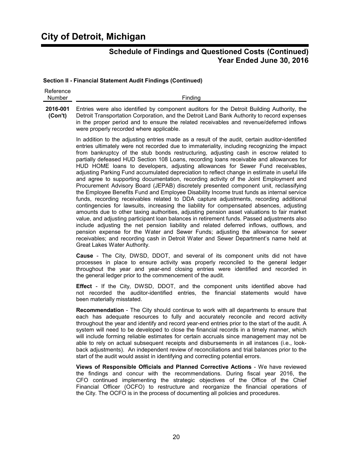#### **Section II - Financial Statement Audit Findings (Continued)**

| Reference |                |
|-----------|----------------|
| Number    | <b>Finding</b> |
|           |                |

**2016-001 (Con't)** Entries were also identified by component auditors for the Detroit Building Authority, the Detroit Transportation Corporation, and the Detroit Land Bank Authority to record expenses in the proper period and to ensure the related receivables and revenue/deferred inflows were properly recorded where applicable.

> In addition to the adjusting entries made as a result of the audit, certain auditor-identified entries ultimately were not recorded due to immateriality, including recognizing the impact from bankruptcy of the stub bonds restructuring, adjusting cash in escrow related to partially defeased HUD Section 108 Loans, recording loans receivable and allowances for HUD HOME loans to developers, adjusting allowances for Sewer Fund receivables, adjusting Parking Fund accumulated depreciation to reflect change in estimate in useful life and agree to supporting documentation, recording activity of the Joint Employment and Procurement Advisory Board (JEPAB) discretely presented component unit, reclassifying the Employee Benefits Fund and Employee Disability Income trust funds as internal service funds, recording receivables related to DDA capture adjustments, recording additional contingencies for lawsuits, increasing the liability for compensated absences, adjusting amounts due to other taxing authorities, adjusting pension asset valuations to fair market value, and adjusting participant loan balances in retirement funds. Passed adjustments also include adjusting the net pension liability and related deferred inflows, outflows, and pension expense for the Water and Sewer Funds; adjusting the allowance for sewer receivables; and recording cash in Detroit Water and Sewer Department's name held at Great Lakes Water Authority.

> **Cause** - The City, DWSD, DDOT, and several of its component units did not have processes in place to ensure activity was properly reconciled to the general ledger throughout the year and year-end closing entries were identified and recorded in the general ledger prior to the commencement of the audit.

> **Effect** - If the City, DWSD, DDOT, and the component units identified above had not recorded the auditor-identified entries, the financial statements would have been materially misstated.

> **Recommendation** - The City should continue to work with all departments to ensure that each has adequate resources to fully and accurately reconcile and record activity throughout the year and identify and record year-end entries prior to the start of the audit. A system will need to be developed to close the financial records in a timely manner, which will include forming reliable estimates for certain accruals since management may not be able to rely on actual subsequent receipts and disbursements in all instances (i.e., lookback adjustments). An independent review of reconciliations and trial balances prior to the start of the audit would assist in identifying and correcting potential errors.

> **Views of Responsible Officials and Planned Corrective Actions** - We have reviewed the findings and concur with the recommendations. During fiscal year 2016, the CFO continued implementing the strategic objectives of the Office of the Chief Financial Officer (OCFO) to restructure and reorganize the financial operations of the City. The OCFO is in the process of documenting all policies and procedures.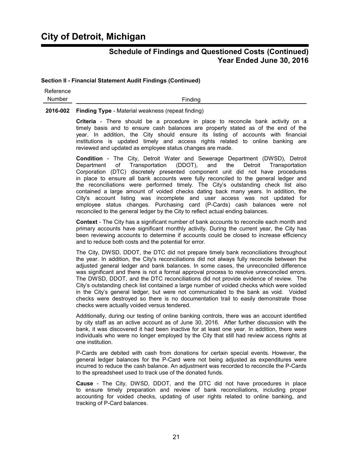#### **Section II - Financial Statement Audit Findings (Continued)**

| Reference |  |
|-----------|--|
| Number    |  |

Finding

**2016-002 Finding Type** - Material weakness (repeat finding)

**Criteria** - There should be a procedure in place to reconcile bank activity on a timely basis and to ensure cash balances are properly stated as of the end of the year. In addition, the City should ensure its listing of accounts with financial institutions is updated timely and access rights related to online banking are reviewed and updated as employee status changes are made.

**Condition** - The City, Detroit Water and Sewerage Department (DWSD), Detroit Department of Transportation (DDOT), and the Detroit Transportation Corporation (DTC) discretely presented component unit did not have procedures in place to ensure all bank accounts were fully reconciled to the general ledger and the reconciliations were performed timely. The City's outstanding check list also contained a large amount of voided checks dating back many years. In addition, the City's account listing was incomplete and user access was not updated for employee status changes. Purchasing card (P-Cards) cash balances were not reconciled to the general ledger by the City to reflect actual ending balances.

**Context** - The City has a significant number of bank accounts to reconcile each month and primary accounts have significant monthly activity. During the current year, the City has been reviewing accounts to determine if accounts could be closed to increase efficiency and to reduce both costs and the potential for error.

The City, DWSD, DDOT, the DTC did not prepare timely bank reconciliations throughout the year. In addition, the City's reconciliations did not always fully reconcile between the adjusted general ledger and bank balances. In some cases, the unreconciled difference was significant and there is not a formal approval process to resolve unreconciled errors. The DWSD, DDOT, and the DTC reconciliations did not provide evidence of review. The City's outstanding check list contained a large number of voided checks which were voided in the City's general ledger, but were not communicated to the bank as void. Voided checks were destroyed so there is no documentation trail to easily demonstrate those checks were actually voided versus tendered.

Additionally, during our testing of online banking controls, there was an account identified by city staff as an active account as of June 30, 2016. After further discussion with the bank, it was discovered it had been inactive for at least one year. In addition, there were individuals who were no longer employed by the City that still had review access rights at one institution.

P-Cards are debited with cash from donations for certain special events. However, the general ledger balances for the P-Card were not being adjusted as expenditures were incurred to reduce the cash balance. An adjustment was recorded to reconcile the P-Cards to the spreadsheet used to track use of the donated funds.

**Cause** - The City, DWSD, DDOT, and the DTC did not have procedures in place to ensure timely preparation and review of bank reconciliations, including proper accounting for voided checks, updating of user rights related to online banking, and tracking of P-Card balances.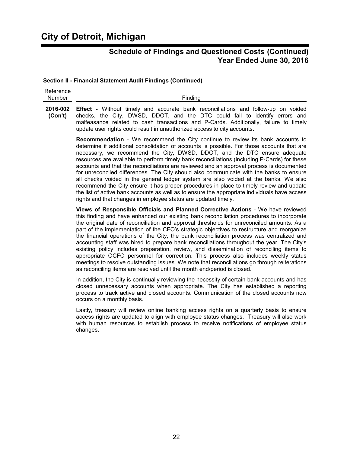# **City of Detroit, Michigan**

### **Schedule of Findings and Questioned Costs (Continued) Year Ended June 30, 2016**

#### **Section II - Financial Statement Audit Findings (Continued)**

| Reference  |              |
|------------|--------------|
| N<br>umber | --<br>$-100$ |
|            |              |

**2016-002 Effect** - Without timely and accurate bank reconciliations and follow-up on voided **(Con't)** checks, the City, DWSD, DDOT, and the DTC could fail to identify errors and malfeasance related to cash transactions and P-Cards. Additionally, failure to timely update user rights could result in unauthorized access to city accounts.

> **Recommendation** - We recommend the City continue to review its bank accounts to determine if additional consolidation of accounts is possible. For those accounts that are necessary, we recommend the City, DWSD, DDOT, and the DTC ensure adequate resources are available to perform timely bank reconciliations (including P-Cards) for these accounts and that the reconciliations are reviewed and an approval process is documented for unreconciled differences. The City should also communicate with the banks to ensure all checks voided in the general ledger system are also voided at the banks. We also recommend the City ensure it has proper procedures in place to timely review and update the list of active bank accounts as well as to ensure the appropriate individuals have access rights and that changes in employee status are updated timely.

> **Views of Responsible Officials and Planned Corrective Actions** - We have reviewed this finding and have enhanced our existing bank reconciliation procedures to incorporate the original date of reconciliation and approval thresholds for unreconciled amounts. As a part of the implementation of the CFO's strategic objectives to restructure and reorganize the financial operations of the City, the bank reconciliation process was centralized and accounting staff was hired to prepare bank reconciliations throughout the year. The City's existing policy includes preparation, review, and dissemination of reconciling items to appropriate OCFO personnel for correction. This process also includes weekly status meetings to resolve outstanding issues. We note that reconciliations go through reiterations as reconciling items are resolved until the month end/period is closed.

> In addition, the City is continually reviewing the necessity of certain bank accounts and has closed unnecessary accounts when appropriate. The City has established a reporting process to track active and closed accounts. Communication of the closed accounts now occurs on a monthly basis.

> Lastly, treasury will review online banking access rights on a quarterly basis to ensure access rights are updated to align with employee status changes. Treasury will also work with human resources to establish process to receive notifications of employee status changes.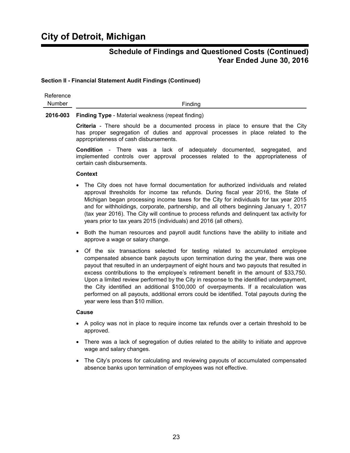#### **Section II - Financial Statement Audit Findings (Continued)**

| Reference |                                                            |
|-----------|------------------------------------------------------------|
| Number    | Finding                                                    |
|           | 2016-003 Finding Type - Material weakness (repeat finding) |

**Criteria** - There should be a documented process in place to ensure that the City has proper segregation of duties and approval processes in place related to the appropriateness of cash disbursements.

**Condition** - There was a lack of adequately documented, segregated, and implemented controls over approval processes related to the appropriateness of certain cash disbursements.

#### **Context**

- The City does not have formal documentation for authorized individuals and related approval thresholds for income tax refunds. During fiscal year 2016, the State of Michigan began processing income taxes for the City for individuals for tax year 2015 and for withholdings, corporate, partnership, and all others beginning January 1, 2017 (tax year 2016). The City will continue to process refunds and delinquent tax activity for years prior to tax years 2015 (individuals) and 2016 (all others).
- Both the human resources and payroll audit functions have the ability to initiate and approve a wage or salary change.
- Of the six transactions selected for testing related to accumulated employee compensated absence bank payouts upon termination during the year, there was one payout that resulted in an underpayment of eight hours and two payouts that resulted in excess contributions to the employee's retirement benefit in the amount of \$33,750. Upon a limited review performed by the City in response to the identified underpayment, the City identified an additional \$100,000 of overpayments. If a recalculation was performed on all payouts, additional errors could be identified. Total payouts during the year were less than \$10 million.

#### **Cause**

- A policy was not in place to require income tax refunds over a certain threshold to be approved.
- There was a lack of segregation of duties related to the ability to initiate and approve wage and salary changes.
- The City's process for calculating and reviewing payouts of accumulated compensated absence banks upon termination of employees was not effective.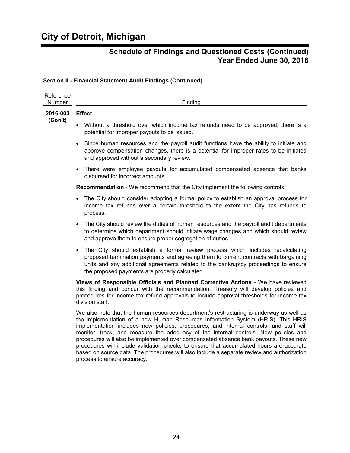#### **Section II - Financial Statement Audit Findings (Continued)**

| Reference<br>Number | Finding                                                                                                                                                                                                                                                                                                                                                                                                                                                                                                                                                                                                                                                                       |
|---------------------|-------------------------------------------------------------------------------------------------------------------------------------------------------------------------------------------------------------------------------------------------------------------------------------------------------------------------------------------------------------------------------------------------------------------------------------------------------------------------------------------------------------------------------------------------------------------------------------------------------------------------------------------------------------------------------|
| 2016-003<br>(Con't) | <b>Effect</b>                                                                                                                                                                                                                                                                                                                                                                                                                                                                                                                                                                                                                                                                 |
|                     | Without a threshold over which income tax refunds need to be approved, there is a<br>potential for improper payouts to be issued.                                                                                                                                                                                                                                                                                                                                                                                                                                                                                                                                             |
|                     | Since human resources and the payroll audit functions have the ability to initiate and<br>$\bullet$<br>approve compensation changes, there is a potential for improper rates to be initiated<br>and approved without a secondary review.                                                                                                                                                                                                                                                                                                                                                                                                                                      |
|                     | There were employee payouts for accumulated compensated absence that banks<br>$\bullet$<br>disbursed for incorrect amounts.                                                                                                                                                                                                                                                                                                                                                                                                                                                                                                                                                   |
|                     | Recommendation - We recommend that the City implement the following controls:                                                                                                                                                                                                                                                                                                                                                                                                                                                                                                                                                                                                 |
|                     | The City should consider adopting a formal policy to establish an approval process for<br>income tax refunds over a certain threshold to the extent the City has refunds to<br>process.                                                                                                                                                                                                                                                                                                                                                                                                                                                                                       |
|                     | The City should review the duties of human resources and the payroll audit departments<br>$\bullet$<br>to determine which department should initiate wage changes and which should review<br>and approve them to ensure proper segregation of duties.                                                                                                                                                                                                                                                                                                                                                                                                                         |
|                     | The City should establish a formal review process which includes recalculating<br>proposed termination payments and agreeing them to current contracts with bargaining<br>units and any additional agreements related to the bankruptcy proceedings to ensure<br>the proposed payments are properly calculated.                                                                                                                                                                                                                                                                                                                                                               |
|                     | Views of Responsible Officials and Planned Corrective Actions - We have reviewed<br>this finding and concur with the recommendation. Treasury will develop policies and<br>procedures for income tax refund approvals to include approval thresholds for income tax<br>division staff.                                                                                                                                                                                                                                                                                                                                                                                        |
|                     | We also note that the human resources department's restructuring is underway as well as<br>the implementation of a new Human Resources Information System (HRIS). This HRIS<br>implementation includes new policies, procedures, and internal controls, and staff will<br>monitor, track, and measure the adequacy of the internal controls. New policies and<br>procedures will also be implemented over compensated absence bank payouts. These new<br>procedures will include validation checks to ensure that accumulated hours are accurate<br>based on source data. The procedures will also include a separate review and authorization<br>process to ensure accuracy. |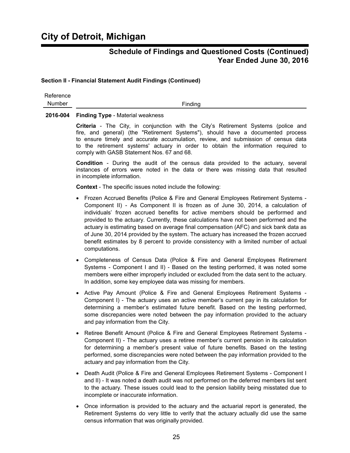#### **Section II - Financial Statement Audit Findings (Continued)**

Reference

Number Finding

#### **2016-004 Finding Type** - Material weakness

**Criteria** - The City, in conjunction with the City's Retirement Systems (police and fire, and general) (the "Retirement Systems"), should have a documented process to ensure timely and accurate accumulation, review, and submission of census data to the retirement systems' actuary in order to obtain the information required to comply with GASB Statement Nos. 67 and 68.

**Condition** - During the audit of the census data provided to the actuary, several instances of errors were noted in the data or there was missing data that resulted in incomplete information.

**Context** - The specific issues noted include the following:

- Frozen Accrued Benefits (Police & Fire and General Employees Retirement Systems Component II) - As Component II is frozen as of June 30, 2014, a calculation of individuals' frozen accrued benefits for active members should be performed and provided to the actuary. Currently, these calculations have not been performed and the actuary is estimating based on average final compensation (AFC) and sick bank data as of June 30, 2014 provided by the system. The actuary has increased the frozen accrued benefit estimates by 8 percent to provide consistency with a limited number of actual computations.
- Completeness of Census Data (Police & Fire and General Employees Retirement Systems - Component I and II) - Based on the testing performed, it was noted some members were either improperly included or excluded from the data sent to the actuary. In addition, some key employee data was missing for members.
- Active Pay Amount (Police & Fire and General Employees Retirement Systems -Component I) - The actuary uses an active member's current pay in its calculation for determining a member's estimated future benefit. Based on the testing performed, some discrepancies were noted between the pay information provided to the actuary and pay information from the City.
- Retiree Benefit Amount (Police & Fire and General Employees Retirement Systems -Component II) - The actuary uses a retiree member's current pension in its calculation for determining a member's present value of future benefits. Based on the testing performed, some discrepancies were noted between the pay information provided to the actuary and pay information from the City.
- Death Audit (Police & Fire and General Employees Retirement Systems Component I and II) - It was noted a death audit was not performed on the deferred members list sent to the actuary. These issues could lead to the pension liability being misstated due to incomplete or inaccurate information.
- Once information is provided to the actuary and the actuarial report is generated, the Retirement Systems do very little to verify that the actuary actually did use the same census information that was originally provided.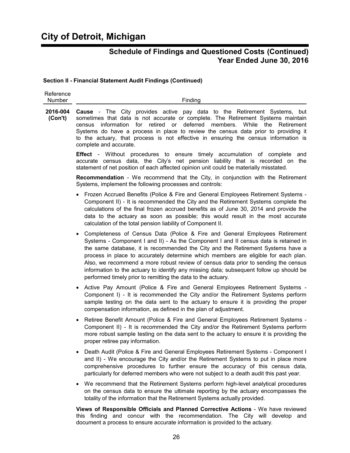#### **Section II - Financial Statement Audit Findings (Continued)**

| Reference<br>Number | Finding                                                                                                                                                                                                                                                                                                                                                                                                                                                                                                                                                                                                    |
|---------------------|------------------------------------------------------------------------------------------------------------------------------------------------------------------------------------------------------------------------------------------------------------------------------------------------------------------------------------------------------------------------------------------------------------------------------------------------------------------------------------------------------------------------------------------------------------------------------------------------------------|
| 2016-004<br>(Con't) | <b>Cause</b> - The City provides active pay data to the Retirement Systems, but<br>sometimes that data is not accurate or complete. The Retirement Systems maintain<br>information for retired or deferred members. While the Retirement<br>census<br>Systems do have a process in place to review the census data prior to providing it<br>to the actuary, that process is not effective in ensuring the census information is<br>complete and accurate.                                                                                                                                                  |
|                     | <b>Effect</b> - Without procedures to ensure timely accumulation of complete<br>and<br>accurate census data, the City's net pension liability that is recorded on the<br>statement of net position of each affected opinion unit could be materially misstated.                                                                                                                                                                                                                                                                                                                                            |
|                     | <b>Recommendation</b> - We recommend that the City, in conjunction with the Retirement<br>Systems, implement the following processes and controls:                                                                                                                                                                                                                                                                                                                                                                                                                                                         |
|                     | Frozen Accrued Benefits (Police & Fire and General Employees Retirement Systems -<br>Component II) - It is recommended the City and the Retirement Systems complete the<br>calculations of the final frozen accrued benefits as of June 30, 2014 and provide the<br>data to the actuary as soon as possible; this would result in the most accurate<br>calculation of the total pension liability of Component II.                                                                                                                                                                                         |
|                     | Completeness of Census Data (Police & Fire and General Employees Retirement<br>$\bullet$<br>Systems - Component I and II) - As the Component I and II census data is retained in<br>the same database, it is recommended the City and the Retirement Systems have a<br>process in place to accurately determine which members are eligible for each plan.<br>Also, we recommend a more robust review of census data prior to sending the census<br>information to the actuary to identify any missing data; subsequent follow up should be<br>performed timely prior to remitting the data to the actuary. |
|                     | Active Pay Amount (Police & Fire and General Employees Retirement Systems -<br>Component I) - It is recommended the City and/or the Retirement Systems perform<br>sample testing on the data sent to the actuary to ensure it is providing the proper<br>compensation information, as defined in the plan of adjustment.                                                                                                                                                                                                                                                                                   |
|                     | Retiree Benefit Amount (Police & Fire and General Employees Retirement Systems -<br>$\bullet$<br>Component II) - It is recommended the City and/or the Retirement Systems perform<br>more robust sample testing on the data sent to the actuary to ensure it is providing the<br>proper retiree pay information.                                                                                                                                                                                                                                                                                           |
|                     | Death Audit (Police & Fire and General Employees Retirement Systems - Component I<br>and II) - We encourage the City and/or the Retirement Systems to put in place more<br>comprehensive procedures to further ensure the accuracy of this census data,<br>particularly for deferred members who were not subject to a death audit this past year.                                                                                                                                                                                                                                                         |
|                     | We recommend that the Retirement Systems perform high-level analytical procedures<br>on the census data to ensure the ultimate reporting by the actuary encompasses the<br>totality of the information that the Retirement Systems actually provided.                                                                                                                                                                                                                                                                                                                                                      |

**Views of Responsible Officials and Planned Corrective Actions** - We have reviewed this finding and concur with the recommendation. The City will develop and document a process to ensure accurate information is provided to the actuary.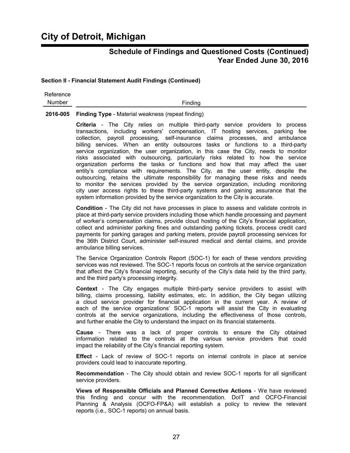#### **Section II - Financial Statement Audit Findings (Continued)**

Reference Number Finding

**2016-005 Finding Type** - Material weakness (repeat finding)

**Criteria** - The City relies on multiple third-party service providers to process transactions, including workers' compensation, IT hosting services, parking fee collection, payroll processing, self-insurance claims processes, and ambulance billing services. When an entity outsources tasks or functions to a third-party service organization, the user organization, in this case the City, needs to monitor risks associated with outsourcing, particularly risks related to how the service organization performs the tasks or functions and how that may affect the user entity's compliance with requirements. The City, as the user entity, despite the outsourcing, retains the ultimate responsibility for managing these risks and needs to monitor the services provided by the service organization, including monitoring city user access rights to these third-party systems and gaining assurance that the system information provided by the service organization to the City is accurate.

**Condition** - The City did not have processes in place to assess and validate controls in place at third-party service providers including those which handle processing and payment of worker's compensation claims, provide cloud hosting of the City's financial application, collect and administer parking fines and outstanding parking tickets, process credit card payments for parking garages and parking meters, provide payroll processing services for the 36th District Court, administer self-insured medical and dental claims, and provide ambulance billing services.

The Service Organization Controls Report (SOC-1) for each of these vendors providing services was not reviewed. The SOC-1 reports focus on controls at the service organization that affect the City's financial reporting, security of the City's data held by the third party, and the third party's processing integrity.

**Context** - The City engages multiple third-party service providers to assist with billing, claims processing, liability estimates, etc. In addition, the City began utilizing a cloud service provider for financial application in the current year. A review of each of the service organizations' SOC-1 reports will assist the City in evaluating controls at the service organizations, including the effectiveness of those controls, and further enable the City to understand the impact on its financial statements.

**Cause** - There was a lack of proper controls to ensure the City obtained information related to the controls at the various service providers that could impact the reliability of the City's financial reporting system.

**Effect** - Lack of review of SOC-1 reports on internal controls in place at service providers could lead to inaccurate reporting.

**Recommendation** - The City should obtain and review SOC-1 reports for all significant service providers.

**Views of Responsible Officials and Planned Corrective Actions** - We have reviewed this finding and concur with the recommendation. DoIT and OCFO-Financial Planning & Analysis (OCFO-FP&A) will establish a policy to review the relevant reports (i.e., SOC-1 reports) on annual basis.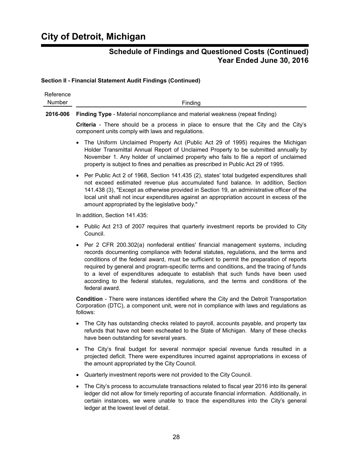#### **Section II - Financial Statement Audit Findings (Continued)**

| Reference<br><b>Number</b> | Finding                                                                                                                                                                                                                                                                                                                                                                                                                                                                                                                                                                   |
|----------------------------|---------------------------------------------------------------------------------------------------------------------------------------------------------------------------------------------------------------------------------------------------------------------------------------------------------------------------------------------------------------------------------------------------------------------------------------------------------------------------------------------------------------------------------------------------------------------------|
| 2016-006                   | Finding Type - Material noncompliance and material weakness (repeat finding)                                                                                                                                                                                                                                                                                                                                                                                                                                                                                              |
|                            | <b>Criteria</b> - There should be a process in place to ensure that the City and the City's<br>component units comply with laws and regulations.                                                                                                                                                                                                                                                                                                                                                                                                                          |
|                            | The Uniform Unclaimed Property Act (Public Act 29 of 1995) requires the Michigan<br>$\bullet$<br>Holder Transmittal Annual Report of Unclaimed Property to be submitted annually by<br>November 1. Any holder of unclaimed property who fails to file a report of unclaimed<br>property is subject to fines and penalties as prescribed in Public Act 29 of 1995.                                                                                                                                                                                                         |
|                            | Per Public Act 2 of 1968, Section 141.435 (2), states' total budgeted expenditures shall<br>$\bullet$<br>not exceed estimated revenue plus accumulated fund balance. In addition, Section<br>141.438 (3), "Except as otherwise provided in Section 19, an administrative officer of the<br>local unit shall not incur expenditures against an appropriation account in excess of the<br>amount appropriated by the legislative body."                                                                                                                                     |
|                            | In addition, Section 141.435:                                                                                                                                                                                                                                                                                                                                                                                                                                                                                                                                             |
|                            | Public Act 213 of 2007 requires that quarterly investment reports be provided to City<br>$\bullet$<br>Council.                                                                                                                                                                                                                                                                                                                                                                                                                                                            |
|                            | Per 2 CFR 200.302(a) nonfederal entities' financial management systems, including<br>$\bullet$<br>records documenting compliance with federal statutes, regulations, and the terms and<br>conditions of the federal award, must be sufficient to permit the preparation of reports<br>required by general and program-specific terms and conditions, and the tracing of funds<br>to a level of expenditures adequate to establish that such funds have been used<br>according to the federal statutes, regulations, and the terms and conditions of the<br>federal award. |
|                            | Condition - There were instances identified where the City and the Detroit Transportation<br>Corporation (DTC), a component unit, were not in compliance with laws and regulations as<br>follows:                                                                                                                                                                                                                                                                                                                                                                         |
|                            | The City has outstanding checks related to payroll, accounts payable, and property tax<br>$\bullet$<br>refunds that have not been escheated to the State of Michigan. Many of these checks<br>have been outstanding for several years.                                                                                                                                                                                                                                                                                                                                    |
|                            | The City's final budget for several nonmajor special revenue funds resulted in a<br>projected deficit. There were expenditures incurred against appropriations in excess of<br>the amount appropriated by the City Council.                                                                                                                                                                                                                                                                                                                                               |
|                            | Quarterly investment reports were not provided to the City Council.                                                                                                                                                                                                                                                                                                                                                                                                                                                                                                       |
|                            |                                                                                                                                                                                                                                                                                                                                                                                                                                                                                                                                                                           |

 The City's process to accumulate transactions related to fiscal year 2016 into its general ledger did not allow for timely reporting of accurate financial information. Additionally, in certain instances, we were unable to trace the expenditures into the City's general ledger at the lowest level of detail.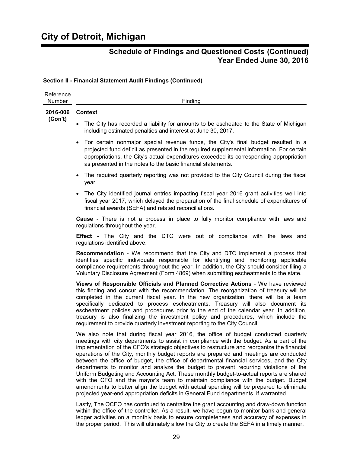#### **Section II - Financial Statement Audit Findings (Continued)**

| Reference<br>Number | Finding                                                                                                                                                                                                                                                                                                                                                                                                                                                                                                                                                                                                                                                                                                                                                                                                                                                                                                                           |
|---------------------|-----------------------------------------------------------------------------------------------------------------------------------------------------------------------------------------------------------------------------------------------------------------------------------------------------------------------------------------------------------------------------------------------------------------------------------------------------------------------------------------------------------------------------------------------------------------------------------------------------------------------------------------------------------------------------------------------------------------------------------------------------------------------------------------------------------------------------------------------------------------------------------------------------------------------------------|
| 2016-006<br>(Con't) | <b>Context</b>                                                                                                                                                                                                                                                                                                                                                                                                                                                                                                                                                                                                                                                                                                                                                                                                                                                                                                                    |
|                     | The City has recorded a liability for amounts to be escheated to the State of Michigan<br>including estimated penalties and interest at June 30, 2017.                                                                                                                                                                                                                                                                                                                                                                                                                                                                                                                                                                                                                                                                                                                                                                            |
|                     | For certain nonmajor special revenue funds, the City's final budget resulted in a<br>projected fund deficit as presented in the required supplemental information. For certain<br>appropriations, the City's actual expenditures exceeded its corresponding appropriation<br>as presented in the notes to the basic financial statements.                                                                                                                                                                                                                                                                                                                                                                                                                                                                                                                                                                                         |
|                     | The required quarterly reporting was not provided to the City Council during the fiscal<br>year.                                                                                                                                                                                                                                                                                                                                                                                                                                                                                                                                                                                                                                                                                                                                                                                                                                  |
|                     | • The City identified journal entries impacting fiscal year 2016 grant activities well into<br>fiscal year 2017, which delayed the preparation of the final schedule of expenditures of<br>financial awards (SEFA) and related reconciliations.                                                                                                                                                                                                                                                                                                                                                                                                                                                                                                                                                                                                                                                                                   |
|                     | <b>Cause</b> - There is not a process in place to fully monitor compliance with laws and<br>regulations throughout the year.                                                                                                                                                                                                                                                                                                                                                                                                                                                                                                                                                                                                                                                                                                                                                                                                      |
|                     | <b>Effect</b> - The City and the DTC were out of compliance with the laws and<br>regulations identified above.                                                                                                                                                                                                                                                                                                                                                                                                                                                                                                                                                                                                                                                                                                                                                                                                                    |
|                     | <b>Recommendation</b> - We recommend that the City and DTC implement a process that<br>identifies specific individuals responsible for identifying and monitoring applicable<br>compliance requirements throughout the year. In addition, the City should consider filing a<br>Voluntary Disclosure Agreement (Form 4869) when submitting escheatments to the state.                                                                                                                                                                                                                                                                                                                                                                                                                                                                                                                                                              |
|                     | Views of Responsible Officials and Planned Corrective Actions - We have reviewed<br>this finding and concur with the recommendation. The reorganization of treasury will be<br>completed in the current fiscal year. In the new organization, there will be a team<br>specifically dedicated to process escheatments. Treasury will also document its<br>escheatment policies and procedures prior to the end of the calendar year. In addition,<br>treasury is also finalizing the investment policy and procedures, which include the<br>requirement to provide quarterly investment reporting to the City Council.                                                                                                                                                                                                                                                                                                             |
|                     | We also note that during fiscal year 2016, the office of budget conducted quarterly<br>meetings with city departments to assist in compliance with the budget. As a part of the<br>implementation of the CFO's strategic objectives to restructure and reorganize the financial<br>operations of the City, monthly budget reports are prepared and meetings are conducted<br>between the office of budget, the office of departmental financial services, and the City<br>departments to monitor and analyze the budget to prevent recurring violations of the<br>Uniform Budgeting and Accounting Act. These monthly budget-to-actual reports are shared<br>with the CFO and the mayor's team to maintain compliance with the budget. Budget<br>amendments to better align the budget with actual spending will be prepared to eliminate<br>projected year-end appropriation deficits in General Fund departments, if warranted. |

Lastly, The OCFO has continued to centralize the grant accounting and draw-down function within the office of the controller. As a result, we have begun to monitor bank and general ledger activities on a monthly basis to ensure completeness and accuracy of expenses in the proper period. This will ultimately allow the City to create the SEFA in a timely manner.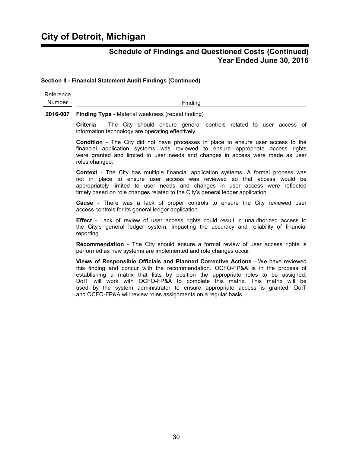#### **Section II - Financial Statement Audit Findings (Continued)**

| Reference |         |
|-----------|---------|
| Number    | Finding |

**2016-007 Finding Type** - Material weakness (repeat finding)

**Criteria** - The City should ensure general controls related to user access of information technology are operating effectively.

**Condition** - The City did not have processes in place to ensure user access to the financial application systems was reviewed to ensure appropriate access rights were granted and limited to user needs and changes in access were made as user roles changed.

**Context** - The City has multiple financial application systems. A formal process was not in place to ensure user access was reviewed so that access would be appropriately limited to user needs and changes in user access were reflected timely based on role changes related to the City's general ledger application.

**Cause** - There was a lack of proper controls to ensure the City reviewed user access controls for its general ledger application.

**Effect** - Lack of review of user access rights could result in unauthorized access to the City's general ledger system, impacting the accuracy and reliability of financial reporting.

**Recommendation** - The City should ensure a formal review of user access rights is performed as new systems are implemented and role changes occur.

**Views of Responsible Officials and Planned Corrective Actions** - We have reviewed this finding and concur with the recommendation. OCFO-FP&A is in the process of establishing a matrix that lists by position the appropriate roles to be assigned. DoIT will work with OCFO-FP&A to complete this matrix. This matrix will be used by the system administrator to ensure appropriate access is granted. DoIT and OCFO-FP&A will review roles assignments on a regular basis.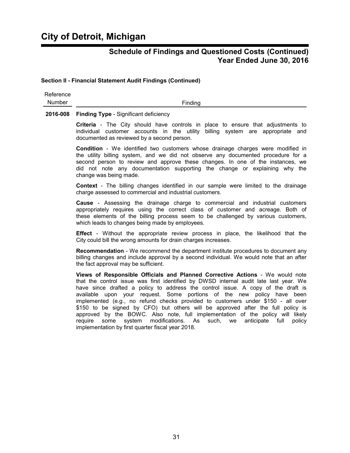#### **Section II - Financial Statement Audit Findings (Continued)**

Reference Number Finding

#### **2016-008 Finding Type** - Significant deficiency

**Criteria** - The City should have controls in place to ensure that adjustments to individual customer accounts in the utility billing system are appropriate and documented as reviewed by a second person.

**Condition** - We identified two customers whose drainage charges were modified in the utility billing system, and we did not observe any documented procedure for a second person to review and approve these changes. In one of the instances, we did not note any documentation supporting the change or explaining why the change was being made.

**Context** - The billing changes identified in our sample were limited to the drainage charge assessed to commercial and industrial customers.

**Cause** - Assessing the drainage charge to commercial and industrial customers appropriately requires using the correct class of customer and acreage. Both of these elements of the billing process seem to be challenged by various customers, which leads to changes being made by employees.

**Effect** - Without the appropriate review process in place, the likelihood that the City could bill the wrong amounts for drain charges increases.

**Recommendation** - We recommend the department institute procedures to document any billing changes and include approval by a second individual. We would note that an after the fact approval may be sufficient.

**Views of Responsible Officials and Planned Corrective Actions** - We would note that the control issue was first identified by DWSD internal audit late last year. We have since drafted a policy to address the control issue. A copy of the draft is available upon your request. Some portions of the new policy have been implemented (e.g., no refund checks provided to customers under \$150 - all over \$150 to be signed by CFO) but others will be approved after the full policy is approved by the BOWC. Also note, full implementation of the policy will likely require some system modifications. As such, we anticipate full policy implementation by first quarter fiscal year 2018.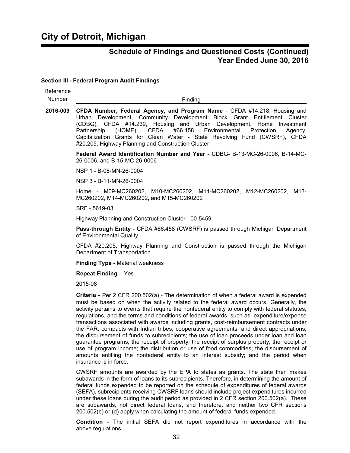#### **Section III - Federal Program Audit Findings**

| Reference<br>Number | Finding                                                                                                                                                                                                                                                                                                                                                                                                                                                                                                                                                                                                                                                                                                                                                                                                                                                                                                                                                                           |
|---------------------|-----------------------------------------------------------------------------------------------------------------------------------------------------------------------------------------------------------------------------------------------------------------------------------------------------------------------------------------------------------------------------------------------------------------------------------------------------------------------------------------------------------------------------------------------------------------------------------------------------------------------------------------------------------------------------------------------------------------------------------------------------------------------------------------------------------------------------------------------------------------------------------------------------------------------------------------------------------------------------------|
| 2016-009            | CFDA Number, Federal Agency, and Program Name - CFDA #14.218, Housing and<br>Urban Development, Community Development Block Grant Entitlement Cluster<br>(CDBG), CFDA #14.239, Housing and Urban Development, Home Investment<br><b>CFDA</b><br>#66.458<br>Environmental<br>Protection<br>Partnership<br>$(HOME)$ ,<br>Agency,<br>Capitalization Grants for Clean Water - State Revolving Fund (CWSRF), CFDA<br>#20.205, Highway Planning and Construction Cluster                                                                                                                                                                                                                                                                                                                                                                                                                                                                                                                |
|                     | Federal Award Identification Number and Year - CDBG- B-13-MC-26-0006, B-14-MC-<br>26-0006, and B-15-MC-26-0006                                                                                                                                                                                                                                                                                                                                                                                                                                                                                                                                                                                                                                                                                                                                                                                                                                                                    |
|                     | NSP 1 - B-08-MN-26-0004                                                                                                                                                                                                                                                                                                                                                                                                                                                                                                                                                                                                                                                                                                                                                                                                                                                                                                                                                           |
|                     | NSP 3 - B-11-MN-26-0004                                                                                                                                                                                                                                                                                                                                                                                                                                                                                                                                                                                                                                                                                                                                                                                                                                                                                                                                                           |
|                     | Home - M09-MC260202, M10-MC260202, M11-MC260202, M12-MC260202, M13-<br>MC260202, M14-MC260202, and M15-MC260202                                                                                                                                                                                                                                                                                                                                                                                                                                                                                                                                                                                                                                                                                                                                                                                                                                                                   |
|                     | SRF - 5619-03                                                                                                                                                                                                                                                                                                                                                                                                                                                                                                                                                                                                                                                                                                                                                                                                                                                                                                                                                                     |
|                     | Highway Planning and Construction Cluster - 00-5459                                                                                                                                                                                                                                                                                                                                                                                                                                                                                                                                                                                                                                                                                                                                                                                                                                                                                                                               |
|                     | Pass-through Entity - CFDA #66.458 (CWSRF) is passed through Michigan Department<br>of Environmental Quality                                                                                                                                                                                                                                                                                                                                                                                                                                                                                                                                                                                                                                                                                                                                                                                                                                                                      |
|                     | CFDA #20.205, Highway Planning and Construction is passed through the Michigan<br>Department of Transportation                                                                                                                                                                                                                                                                                                                                                                                                                                                                                                                                                                                                                                                                                                                                                                                                                                                                    |
|                     | <b>Finding Type - Material weakness</b>                                                                                                                                                                                                                                                                                                                                                                                                                                                                                                                                                                                                                                                                                                                                                                                                                                                                                                                                           |
|                     | <b>Repeat Finding - Yes</b>                                                                                                                                                                                                                                                                                                                                                                                                                                                                                                                                                                                                                                                                                                                                                                                                                                                                                                                                                       |
|                     | 2015-08                                                                                                                                                                                                                                                                                                                                                                                                                                                                                                                                                                                                                                                                                                                                                                                                                                                                                                                                                                           |
|                     | Criteria - Per 2 CFR 200.502(a) - The determination of when a federal award is expended<br>must be based on when the activity related to the federal award occurs. Generally, the<br>activity pertains to events that require the nonfederal entity to comply with federal statutes,<br>regulations, and the terms and conditions of federal awards, such as: expenditure/expense<br>transactions associated with awards including grants, cost-reimbursement contracts under<br>the FAR, compacts with Indian tribes, cooperative agreements, and direct appropriations;<br>the disbursement of funds to subrecipients; the use of loan proceeds under loan and loan<br>guarantee programs; the receipt of property; the receipt of surplus property; the receipt or<br>use of program income; the distribution or use of food commodities; the disbursement of<br>amounts entitling the nonfederal entity to an interest subsidy; and the period when<br>insurance is in force. |

CWSRF amounts are awarded by the EPA to states as grants. The state then makes subawards in the form of loans to its subrecipients. Therefore, in determining the amount of federal funds expended to be reported on the schedule of expenditures of federal awards (SEFA), subrecipients receiving CWSRF loans should include project expenditures incurred under these loans during the audit period as provided in 2 CFR section 200.502(a). These are subawards, not direct federal loans, and therefore, and neither two CFR sections 200.502(b) or (d) apply when calculating the amount of federal funds expended.

**Condition** - The initial SEFA did not report expenditures in accordance with the above regulations.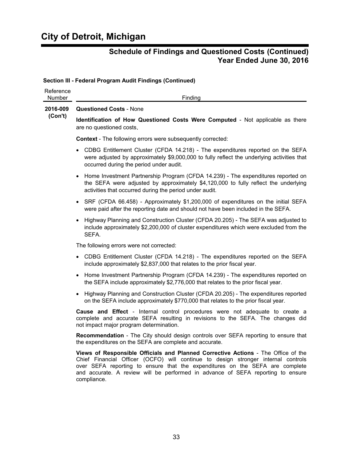### **Section III - Federal Program Audit Findings (Continued)**

| Reference<br>Number | Finding                                                                                                                                                                                                                                                                                                                                                  |
|---------------------|----------------------------------------------------------------------------------------------------------------------------------------------------------------------------------------------------------------------------------------------------------------------------------------------------------------------------------------------------------|
| 2016-009<br>(Con't) | <b>Questioned Costs - None</b>                                                                                                                                                                                                                                                                                                                           |
|                     | Identification of How Questioned Costs Were Computed - Not applicable as there<br>are no questioned costs.                                                                                                                                                                                                                                               |
|                     | <b>Context</b> - The following errors were subsequently corrected:                                                                                                                                                                                                                                                                                       |
|                     | CDBG Entitlement Cluster (CFDA 14.218) - The expenditures reported on the SEFA<br>were adjusted by approximately \$9,000,000 to fully reflect the underlying activities that<br>occurred during the period under audit.                                                                                                                                  |
|                     | Home Investment Partnership Program (CFDA 14.239) - The expenditures reported on<br>$\bullet$<br>the SEFA were adjusted by approximately \$4,120,000 to fully reflect the underlying<br>activities that occurred during the period under audit.                                                                                                          |
|                     | SRF (CFDA 66.458) - Approximately \$1,200,000 of expenditures on the initial SEFA<br>$\bullet$<br>were paid after the reporting date and should not have been included in the SEFA.                                                                                                                                                                      |
|                     | Highway Planning and Construction Cluster (CFDA 20.205) - The SEFA was adjusted to<br>include approximately \$2,200,000 of cluster expenditures which were excluded from the<br>SEFA.                                                                                                                                                                    |
|                     | The following errors were not corrected:                                                                                                                                                                                                                                                                                                                 |
|                     | CDBG Entitlement Cluster (CFDA 14.218) - The expenditures reported on the SEFA<br>include approximately \$2,837,000 that relates to the prior fiscal year.                                                                                                                                                                                               |
|                     | Home Investment Partnership Program (CFDA 14.239) - The expenditures reported on<br>the SEFA include approximately \$2,776,000 that relates to the prior fiscal year.                                                                                                                                                                                    |
|                     | Highway Planning and Construction Cluster (CFDA 20.205) - The expenditures reported<br>on the SEFA include approximately \$770,000 that relates to the prior fiscal year.                                                                                                                                                                                |
|                     | Cause and Effect - Internal control procedures were not adequate to create a<br>complete and accurate SEFA resulting in revisions to the SEFA. The changes did<br>not impact major program determination.                                                                                                                                                |
|                     | <b>Recommendation</b> - The City should design controls over SEFA reporting to ensure that<br>the expenditures on the SEFA are complete and accurate.                                                                                                                                                                                                    |
|                     | Views of Responsible Officials and Planned Corrective Actions - The Office of the<br>Chief Financial Officer (OCFO) will continue to design stronger internal controls<br>over SEFA reporting to ensure that the expenditures on the SEFA are complete<br>and accurate. A review will be performed in advance of SEFA reporting to ensure<br>compliance. |
|                     |                                                                                                                                                                                                                                                                                                                                                          |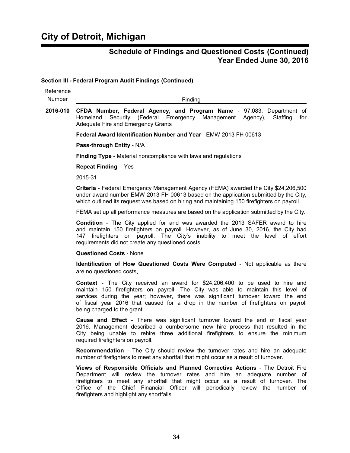**Section III - Federal Program Audit Findings (Continued)**

| Reference<br>Number | Finding                                                                                                                                                                                                                                                                                                                                                                            |
|---------------------|------------------------------------------------------------------------------------------------------------------------------------------------------------------------------------------------------------------------------------------------------------------------------------------------------------------------------------------------------------------------------------|
| 2016-010            | CFDA Number, Federal Agency, and Program Name - 97.083, Department of<br>Security (Federal Emergency Management Agency),<br>Homeland<br>Staffing<br>for<br>Adequate Fire and Emergency Grants                                                                                                                                                                                      |
|                     | Federal Award Identification Number and Year - EMW 2013 FH 00613                                                                                                                                                                                                                                                                                                                   |
|                     | Pass-through Entity - N/A                                                                                                                                                                                                                                                                                                                                                          |
|                     | <b>Finding Type</b> - Material noncompliance with laws and regulations                                                                                                                                                                                                                                                                                                             |
|                     | <b>Repeat Finding - Yes</b>                                                                                                                                                                                                                                                                                                                                                        |
|                     | 2015-31                                                                                                                                                                                                                                                                                                                                                                            |
|                     | Criteria - Federal Emergency Management Agency (FEMA) awarded the City \$24,206,500<br>under award number EMW 2013 FH 00613 based on the application submitted by the City,<br>which outlined its request was based on hiring and maintaining 150 firefighters on payroll                                                                                                          |
|                     | FEMA set up all performance measures are based on the application submitted by the City.                                                                                                                                                                                                                                                                                           |
|                     | <b>Condition</b> - The City applied for and was awarded the 2013 SAFER award to hire<br>and maintain 150 firefighters on payroll. However, as of June 30, 2016, the City had<br>firefighters on payroll. The City's inability to meet the level of effort<br>147<br>requirements did not create any questioned costs.                                                              |
|                     | <b>Questioned Costs - None</b>                                                                                                                                                                                                                                                                                                                                                     |
|                     | Identification of How Questioned Costs Were Computed - Not applicable as there<br>are no questioned costs.                                                                                                                                                                                                                                                                         |
|                     | <b>Context</b> - The City received an award for \$24,206,400 to be used to hire and<br>maintain 150 firefighters on payroll. The City was able to maintain this level of<br>services during the year; however, there was significant turnover toward the end<br>of fiscal year 2016 that caused for a drop in the number of firefighters on payroll<br>being charged to the grant. |
|                     | <b>Cause and Effect</b> - There was significant turnover toward the end of fiscal year<br>2016. Management described a cumbersome new hire process that resulted in the<br>City being unable to rehire three additional firefighters to ensure the minimum<br>required firefighters on payroll.                                                                                    |
|                     | <b>Recommendation</b> - The City should review the turnover rates and hire an adequate<br>number of firefighters to meet any shortfall that might occur as a result of turnover.                                                                                                                                                                                                   |
|                     | Views of Responsible Officials and Planned Corrective Actions - The Detroit Fire<br>Department will review the turnover rates<br>and hire an adequate number of<br>firefighters to meet any shortfall that might occur as a result of turnover. The<br>Office of the Chief Financial Officer will periodically review the number of<br>firefighters and highlight any shortfalls.  |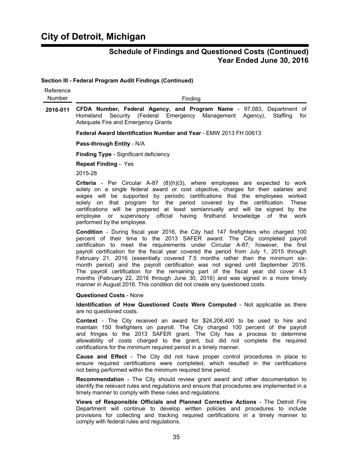$\overline{a}$ 

### **Schedule of Findings and Questioned Costs (Continued) Year Ended June 30, 2016**

**Section III - Federal Program Audit Findings (Continued)**

| Reference<br>Number | Finding                                                                                                                                                                                                                                                                                                                                                                                                                                                                                                                                                                                                                                                                                                                                                                  |
|---------------------|--------------------------------------------------------------------------------------------------------------------------------------------------------------------------------------------------------------------------------------------------------------------------------------------------------------------------------------------------------------------------------------------------------------------------------------------------------------------------------------------------------------------------------------------------------------------------------------------------------------------------------------------------------------------------------------------------------------------------------------------------------------------------|
| 2016-011            | CFDA Number, Federal Agency, and Program Name - 97.083, Department of<br>Security (Federal Emergency Management Agency),<br>Staffing<br>Homeland<br>for<br><b>Adequate Fire and Emergency Grants</b>                                                                                                                                                                                                                                                                                                                                                                                                                                                                                                                                                                     |
|                     | Federal Award Identification Number and Year - EMW 2013 FH 00613                                                                                                                                                                                                                                                                                                                                                                                                                                                                                                                                                                                                                                                                                                         |
|                     | Pass-through Entity - N/A                                                                                                                                                                                                                                                                                                                                                                                                                                                                                                                                                                                                                                                                                                                                                |
|                     | <b>Finding Type - Significant deficiency</b>                                                                                                                                                                                                                                                                                                                                                                                                                                                                                                                                                                                                                                                                                                                             |
|                     | <b>Repeat Finding - Yes</b>                                                                                                                                                                                                                                                                                                                                                                                                                                                                                                                                                                                                                                                                                                                                              |
|                     | 2015-28                                                                                                                                                                                                                                                                                                                                                                                                                                                                                                                                                                                                                                                                                                                                                                  |
|                     | <b>Criteria</b> - Per Circular A-87 $(8)(h)(3)$ , where employees are expected to work<br>solely on a single federal award or cost objective, charges for their salaries and<br>wages will be supported by periodic certifications that the employees worked<br>solely on that program for the period covered by the certification. These<br>certifications will be prepared at least semiannually and will be signed by the<br>employee or supervisory official having firsthand knowledge of the work<br>performed by the employee.                                                                                                                                                                                                                                    |
|                     | Condition - During fiscal year 2016, the City had 147 firefighters who charged 100<br>percent of their time to the 2013 SAFER award. The City completed payroll<br>certification to meet the requirements under Circular A-87; however, the first<br>payroll certification for the fiscal year covered the period from July 1, 2015 through<br>February 21, 2016 (essentially covered 7.5 months rather than the minimum six-<br>month period) and the payroll certification was not signed until September 2016.<br>The payroll certification for the remaining part of the fiscal year did cover 4.5<br>months (February 22, 2016 through June 30, 2016) and was signed in a more timely<br>manner in August 2016. This condition did not create any questioned costs. |
|                     | <b>Questioned Costs - None</b>                                                                                                                                                                                                                                                                                                                                                                                                                                                                                                                                                                                                                                                                                                                                           |
|                     | Identification of How Questioned Costs Were Computed - Not applicable as there<br>are no questioned costs.                                                                                                                                                                                                                                                                                                                                                                                                                                                                                                                                                                                                                                                               |
|                     | <b>Context</b> - The City received an award for \$24,206,400 to be used to hire and<br>maintain 150 firefighters on payroll. The City charged 100 percent of the payroll<br>and fringes to the 2013 SAFER grant. The City has a process to determine<br>allowability of costs charged to the grant, but did not complete the required<br>certifications for the minimum required period in a timely manner.                                                                                                                                                                                                                                                                                                                                                              |
|                     | <b>Cause and Effect</b> - The City did not have proper control procedures in place to<br>ensure required certifications were completed, which resulted in the certifications<br>not being performed within the minimum required time period.                                                                                                                                                                                                                                                                                                                                                                                                                                                                                                                             |
|                     | <b>Recommendation</b> - The City should review grant award and other documentation to<br>identify the relevant rules and regulations and ensure that procedures are implemented in a<br>timely manner to comply with these rules and regulations.                                                                                                                                                                                                                                                                                                                                                                                                                                                                                                                        |

**Views of Responsible Officials and Planned Corrective Actions** - The Detroit Fire Department will continue to develop written policies and procedures to include provisions for collecting and tracking required certifications in a timely manner to comply with federal rules and regulations.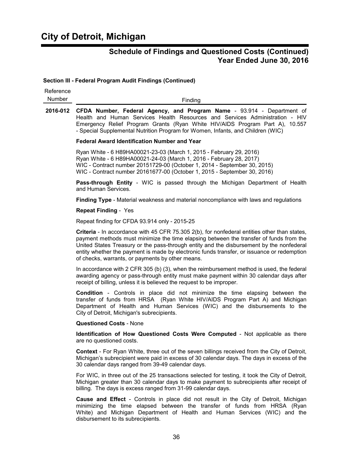#### **Section III - Federal Program Audit Findings (Continued)**

| Reference<br>Number | Finding                                                                                                                                                                                                                                                                                                                                                                                                                              |
|---------------------|--------------------------------------------------------------------------------------------------------------------------------------------------------------------------------------------------------------------------------------------------------------------------------------------------------------------------------------------------------------------------------------------------------------------------------------|
| 2016-012            | CFDA Number, Federal Agency, and Program Name - 93.914 - Department of<br>Health and Human Services Health Resources and Services Administration - HIV<br>Emergency Relief Program Grants (Ryan White HIV/AIDS Program Part A), 10.557<br>- Special Supplemental Nutrition Program for Women, Infants, and Children (WIC)                                                                                                            |
|                     | <b>Federal Award Identification Number and Year</b>                                                                                                                                                                                                                                                                                                                                                                                  |
|                     | Ryan White - 6 H89HA00021-23-03 (March 1, 2015 - February 29, 2016)<br>Ryan White - 6 H89HA00021-24-03 (March 1, 2016 - February 28, 2017)<br>WIC - Contract number 20151729-00 (October 1, 2014 - September 30, 2015)<br>WIC - Contract number 20161677-00 (October 1, 2015 - September 30, 2016)                                                                                                                                   |
|                     | Pass-through Entity - WIC is passed through the Michigan Department of Health<br>and Human Services.                                                                                                                                                                                                                                                                                                                                 |
|                     | Finding Type - Material weakness and material noncompliance with laws and regulations                                                                                                                                                                                                                                                                                                                                                |
|                     | <b>Repeat Finding - Yes</b>                                                                                                                                                                                                                                                                                                                                                                                                          |
|                     | Repeat finding for CFDA 93.914 only - 2015-25                                                                                                                                                                                                                                                                                                                                                                                        |
|                     | Criteria - In accordance with 45 CFR 75.305 2(b), for nonfederal entities other than states,<br>payment methods must minimize the time elapsing between the transfer of funds from the<br>United States Treasury or the pass-through entity and the disbursement by the nonfederal<br>entity whether the payment is made by electronic funds transfer, or issuance or redemption<br>of checks, warrants, or payments by other means. |
|                     | In accordance with 2 CFR 305 (b) (3), when the reimbursement method is used, the federal<br>awarding agency or pass-through entity must make payment within 30 calendar days after<br>receipt of billing, unless it is believed the request to be improper.                                                                                                                                                                          |
|                     | <b>Condition</b> - Controls in place did not minimize the time elapsing between the<br>transfer of funds from HRSA (Ryan White HIV/AIDS Program Part A) and Michigan<br>Department of Health and Human Services (WIC) and the disbursements to the<br>City of Detroit, Michigan's subrecipients.                                                                                                                                     |
|                     | <b>Questioned Costs - None</b>                                                                                                                                                                                                                                                                                                                                                                                                       |
|                     | Identification of How Questioned Costs Were Computed - Not applicable as there<br>are no questioned costs.                                                                                                                                                                                                                                                                                                                           |
|                     | <b>Context</b> - For Ryan White, three out of the seven billings received from the City of Detroit,<br>Michigan's subrecipient were paid in excess of 30 calendar days. The days in excess of the<br>30 calendar days ranged from 39-49 calendar days.                                                                                                                                                                               |
|                     | For WIC, in three out of the 25 transactions selected for testing, it took the City of Detroit,<br>Michigan greater than 30 calendar days to make payment to subrecipients after receipt of                                                                                                                                                                                                                                          |

**Cause and Effect** - Controls in place did not result in the City of Detroit, Michigan minimizing the time elapsed between the transfer of funds from HRSA (Ryan White) and Michigan Department of Health and Human Services (WIC) and the disbursement to its subrecipients.

billing. The days is excess ranged from 31-99 calendar days.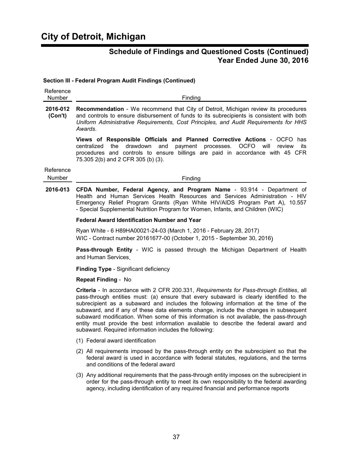#### **Section III - Federal Program Audit Findings (Continued)**

| Reference<br>Number | Finding                                                                                                                                                                                                                                                                                                                                                                                                                                                                                                                                                                                                           |
|---------------------|-------------------------------------------------------------------------------------------------------------------------------------------------------------------------------------------------------------------------------------------------------------------------------------------------------------------------------------------------------------------------------------------------------------------------------------------------------------------------------------------------------------------------------------------------------------------------------------------------------------------|
| 2016-012<br>(Con't) | <b>Recommendation</b> - We recommend that City of Detroit, Michigan review its procedures<br>and controls to ensure disbursement of funds to its subrecipients is consistent with both<br>Uniform Administrative Requirements, Cost Principles, and Audit Requirements for HHS<br>Awards.                                                                                                                                                                                                                                                                                                                         |
|                     | Views of Responsible Officials and Planned Corrective Actions - OCFO has<br>the<br>drawdown<br>payment<br>OCFO will<br>centralized<br>and<br>processes.<br>review<br>its<br>procedures and controls to ensure billings are paid in accordance with 45 CFR<br>75.305 2(b) and 2 CFR 305 (b) (3).                                                                                                                                                                                                                                                                                                                   |
| Reference<br>Number | Finding                                                                                                                                                                                                                                                                                                                                                                                                                                                                                                                                                                                                           |
| 2016-013            | CFDA Number, Federal Agency, and Program Name - 93.914 - Department of<br>Health and Human Services Health Resources and Services Administration - HIV<br>Emergency Relief Program Grants (Ryan White HIV/AIDS Program Part A), 10.557<br>- Special Supplemental Nutrition Program for Women, Infants, and Children (WIC)                                                                                                                                                                                                                                                                                         |
|                     | <b>Federal Award Identification Number and Year</b>                                                                                                                                                                                                                                                                                                                                                                                                                                                                                                                                                               |
|                     | Ryan White - 6 H89HA00021-24-03 (March 1, 2016 - February 28, 2017)<br>WIC - Contract number 20161677-00 (October 1, 2015 - September 30, 2016)                                                                                                                                                                                                                                                                                                                                                                                                                                                                   |
|                     | Pass-through Entity - WIC is passed through the Michigan Department of Health<br>and Human Services.                                                                                                                                                                                                                                                                                                                                                                                                                                                                                                              |
|                     | <b>Finding Type - Significant deficiency</b>                                                                                                                                                                                                                                                                                                                                                                                                                                                                                                                                                                      |
|                     | <b>Repeat Finding - No</b>                                                                                                                                                                                                                                                                                                                                                                                                                                                                                                                                                                                        |
|                     | Criteria - In accordance with 2 CFR 200.331, Requirements for Pass-through Entities, all<br>pass-through entities must: (a) ensure that every subaward is clearly identified to the<br>subrecipient as a subaward and includes the following information at the time of the<br>subaward, and if any of these data elements change, include the changes in subsequent<br>subaward modification. When some of this information is not available, the pass-through<br>entity must provide the best information available to describe the federal award and<br>subaward. Required information includes the following: |
|                     | (1) Federal award identification                                                                                                                                                                                                                                                                                                                                                                                                                                                                                                                                                                                  |
|                     | (2) All requirements imposed by the pass-through entity on the subrecipient so that the<br>federal award is used in accordance with federal statutes, regulations, and the terms<br>and conditions of the federal award                                                                                                                                                                                                                                                                                                                                                                                           |
|                     | (3) Any additional requirements that the pass-through entity imposes on the subrecipient in<br>order for the pass-through entity to meet its own responsibility to the federal awarding<br>agency, including identification of any required financial and performance reports                                                                                                                                                                                                                                                                                                                                     |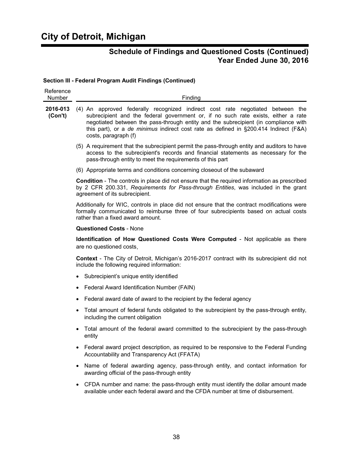# **City of Detroit, Michigan**

## **Schedule of Findings and Questioned Costs (Continued) Year Ended June 30, 2016**

#### **Section III - Federal Program Audit Findings (Continued)**

| Reference<br>Number | Finding                                                                                                                                                                                                                                                                                                                                                                    |
|---------------------|----------------------------------------------------------------------------------------------------------------------------------------------------------------------------------------------------------------------------------------------------------------------------------------------------------------------------------------------------------------------------|
| 2016-013<br>(Con't) | (4) An approved federally recognized indirect cost rate negotiated between the<br>subrecipient and the federal government or, if no such rate exists, either a rate<br>negotiated between the pass-through entity and the subrecipient (in compliance with<br>this part), or a de minimus indirect cost rate as defined in §200.414 Indirect (F&A)<br>costs, paragraph (f) |
|                     | (5) A requirement that the subrecipient permit the pass-through entity and auditors to have<br>access to the subrecipient's records and financial statements as necessary for the<br>pass-through entity to meet the requirements of this part                                                                                                                             |
|                     | (6) Appropriate terms and conditions concerning closeout of the subaward                                                                                                                                                                                                                                                                                                   |
|                     | <b>Condition</b> - The controls in place did not ensure that the required information as prescribed<br>by 2 CFR 200.331, Requirements for Pass-through Entities, was included in the grant<br>agreement of its subrecipient.                                                                                                                                               |
|                     | Additionally for WIC, controls in place did not ensure that the contract modifications were<br>formally communicated to reimburse three of four subrecipients based on actual costs<br>rather than a fixed award amount.                                                                                                                                                   |
|                     | <b>Questioned Costs - None</b>                                                                                                                                                                                                                                                                                                                                             |
|                     | <b>Identification of How Questioned Costs Were Computed - Not applicable as there</b><br>are no questioned costs.                                                                                                                                                                                                                                                          |
|                     | <b>Context</b> - The City of Detroit, Michigan's 2016-2017 contract with its subrecipient did not<br>include the following required information:                                                                                                                                                                                                                           |
|                     | Subrecipient's unique entity identified                                                                                                                                                                                                                                                                                                                                    |
|                     | Federal Award Identification Number (FAIN)                                                                                                                                                                                                                                                                                                                                 |
|                     | Federal award date of award to the recipient by the federal agency                                                                                                                                                                                                                                                                                                         |
|                     | Total amount of federal funds obligated to the subrecipient by the pass-through entity,<br>including the current obligation                                                                                                                                                                                                                                                |
|                     | Total amount of the federal award committed to the subrecipient by the pass-through<br>entity                                                                                                                                                                                                                                                                              |
|                     | Federal award project description, as required to be responsive to the Federal Funding<br>Accountability and Transparency Act (FFATA)                                                                                                                                                                                                                                      |
|                     | Name of federal awarding agency, pass-through entity, and contact information for<br>awarding official of the pass-through entity                                                                                                                                                                                                                                          |
|                     | CFDA number and name: the pass-through entity must identify the dollar amount made                                                                                                                                                                                                                                                                                         |

available under each federal award and the CFDA number at time of disbursement.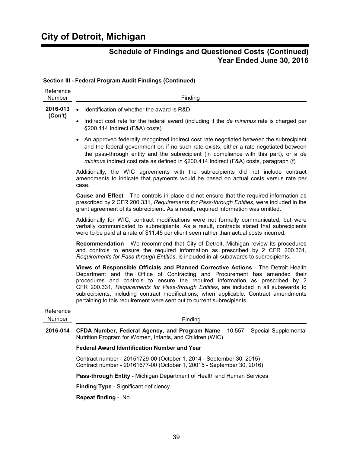| Reference<br>Number | Finding                                                                                                                                                                                                                                                                                                                                                                                                                                                                                                       |
|---------------------|---------------------------------------------------------------------------------------------------------------------------------------------------------------------------------------------------------------------------------------------------------------------------------------------------------------------------------------------------------------------------------------------------------------------------------------------------------------------------------------------------------------|
| 2016-013            | Identification of whether the award is R&D<br>$\bullet$                                                                                                                                                                                                                                                                                                                                                                                                                                                       |
| (Con't)             | Indirect cost rate for the federal award (including if the de minimus rate is charged per<br>§200.414 Indirect (F&A) costs)                                                                                                                                                                                                                                                                                                                                                                                   |
|                     | An approved federally recognized indirect cost rate negotiated between the subrecipient<br>and the federal government or, if no such rate exists, either a rate negotiated between<br>the pass-through entity and the subrecipient (in compliance with this part), or a de<br>minimus indirect cost rate as defined in §200.414 Indirect (F&A) costs, paragraph (f)                                                                                                                                           |
|                     | Additionally, the WIC agreements with the subrecipients did not include contract<br>amendments to indicate that payments would be based on actual costs versus rate per<br>case.                                                                                                                                                                                                                                                                                                                              |
|                     | <b>Cause and Effect</b> - The controls in place did not ensure that the required information as<br>prescribed by 2 CFR 200.331, Requirements for Pass-through Entities, were included in the<br>grant agreement of its subrecipient. As a result, required information was omitted.                                                                                                                                                                                                                           |
|                     | Additionally for WIC, contract modifications were not formally communicated, but were<br>verbally communicated to subrecipients. As a result, contracts stated that subrecipients<br>were to be paid at a rate of \$11.45 per client seen rather than actual costs incurred.                                                                                                                                                                                                                                  |
|                     | <b>Recommendation</b> - We recommend that City of Detroit, Michigan review its procedures<br>and controls to ensure the required information as prescribed by 2 CFR 200.331,<br>Requirements for Pass-through Entities, is included in all subawards to subrecipients.                                                                                                                                                                                                                                        |
|                     | Views of Responsible Officials and Planned Corrective Actions - The Detroit Health<br>Department and the Office of Contracting and Procurement has amended their<br>procedures and controls to ensure the required information as prescribed by 2<br>CFR 200.331, Requirements for Pass-through Entities, are included in all subawards to<br>subrecipients, including contract modifications, when applicable. Contract amendments<br>pertaining to this requirement were sent out to current subrecipients. |
| Reference           |                                                                                                                                                                                                                                                                                                                                                                                                                                                                                                               |
| Number              | Finding                                                                                                                                                                                                                                                                                                                                                                                                                                                                                                       |
| 2016-014            | CFDA Number, Federal Agency, and Program Name - 10.557 - Special Supplemental<br>Nutrition Program for Women, Infants, and Children (WIC)                                                                                                                                                                                                                                                                                                                                                                     |
|                     | <b>Federal Award Identification Number and Year</b>                                                                                                                                                                                                                                                                                                                                                                                                                                                           |
|                     | Contract number - 20151729-00 (October 1, 2014 - September 30, 2015)<br>Contract number - 20161677-00 (October 1, 20015 - September 30, 2016)                                                                                                                                                                                                                                                                                                                                                                 |
|                     | Pass-through Entity - Michigan Department of Health and Human Services                                                                                                                                                                                                                                                                                                                                                                                                                                        |
|                     | <b>Finding Type - Significant deficiency</b>                                                                                                                                                                                                                                                                                                                                                                                                                                                                  |

#### **Section III - Federal Program Audit Findings (Continued)**

**Repeat finding** - No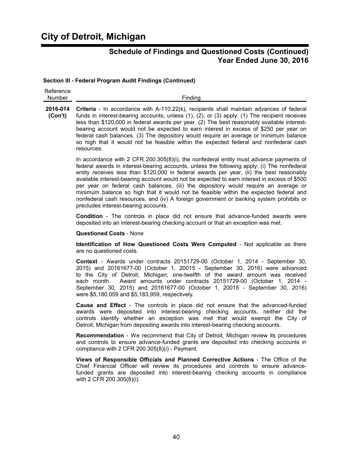# **City of Detroit, Michigan**

### **Schedule of Findings and Questioned Costs (Continued) Year Ended June 30, 2016**

#### **Section III - Federal Program Audit Findings (Continued)**

| Reference     |         |
|---------------|---------|
| <b>Number</b> | Finding |

**2016-014 Criteria** - In accordance with A-110.22(k), recipients shall maintain advances of federal **(Con't)** funds in interest-bearing accounts, unless (1), (2), or (3) apply. (1) The recipient receives less than \$120,000 in federal awards per year. (2) The best reasonably available interestbearing account would not be expected to earn interest in excess of \$250 per year on federal cash balances. (3) The depository would require an average or minimum balance so high that it would not be feasible within the expected federal and nonfederal cash resources.

> In accordance with 2 CFR 200.305(8)(i), the nonfederal entity must advance payments of federal awards in interest-bearing accounts, unless the following apply: (i) The nonfederal entity receives less than \$120,000 in federal awards per year, (ii) the best reasonably available interest-bearing account would not be expected to earn interest in excess of \$500 per year on federal cash balances, (iii) the depository would require an average or minimum balance so high that it would not be feasible within the expected federal and nonfederal cash resources, and (iv) A foreign government or banking system prohibits or precludes interest-bearing accounts.

> **Condition** - The controls in place did not ensure that advance-funded awards were deposited into an interest-bearing checking account or that an exception was met.

#### **Questioned Costs** - None

**Identification of How Questioned Costs Were Computed** - Not applicable as there are no questioned costs.

**Context** - Awards under contracts 20151729-00 (October 1, 2014 - September 30, 2015) and 20161677-00 (October 1, 20015 - September 30, 2016) were advanced to the City of Detroit, Michigan; one-twelfth of the award amount was received each month. Award amounts under contracts 20151729-00 (October 1, 2014 - September 30, 2015) and 20161677-00 (October 1, 20015 - September 30, 2016) were \$5,180,059 and \$5,183,959, respectively.

**Cause and Effect** - The controls in place did not ensure that the advanced-funded awards were deposited into interest-bearing checking accounts, neither did the controls identify whether an exception was met that would exempt the City of Detroit, Michigan from depositing awards into interest-bearing checking accounts.

**Recommendation** - We recommend that City of Detroit, Michigan review its procedures and controls to ensure advance-funded grants are deposited into checking accounts in compliance with 2 CFR 200.305(8)(i) - Payment.

**Views of Responsible Officials and Planned Corrective Actions** - The Office of the Chief Financial Officer will review its procedures and controls to ensure advancefunded grants are deposited into interest-bearing checking accounts in compliance with 2 CFR 200.305(8)(i).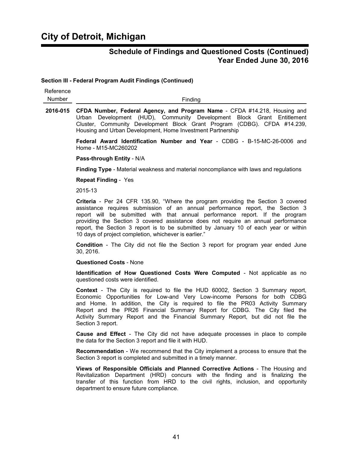**Section III - Federal Program Audit Findings (Continued)**

| Reference<br>Number | Finding                                                                                                                                                                                                                                                                                                                                                                                                                                                                                 |
|---------------------|-----------------------------------------------------------------------------------------------------------------------------------------------------------------------------------------------------------------------------------------------------------------------------------------------------------------------------------------------------------------------------------------------------------------------------------------------------------------------------------------|
| 2016-015            | CFDA Number, Federal Agency, and Program Name - CFDA #14.218, Housing and<br>Development (HUD), Community Development Block Grant Entitlement<br>Urban<br>Cluster, Community Development Block Grant Program (CDBG). CFDA #14.239,<br>Housing and Urban Development, Home Investment Partnership                                                                                                                                                                                        |
|                     | Federal Award Identification Number and Year - CDBG - B-15-MC-26-0006 and<br>Home - M15-MC260202                                                                                                                                                                                                                                                                                                                                                                                        |
|                     | Pass-through Entity - N/A                                                                                                                                                                                                                                                                                                                                                                                                                                                               |
|                     | Finding Type - Material weakness and material noncompliance with laws and regulations                                                                                                                                                                                                                                                                                                                                                                                                   |
|                     | <b>Repeat Finding - Yes</b>                                                                                                                                                                                                                                                                                                                                                                                                                                                             |
|                     | 2015-13                                                                                                                                                                                                                                                                                                                                                                                                                                                                                 |
|                     | Criteria - Per 24 CFR 135.90, "Where the program providing the Section 3 covered<br>assistance requires submission of an annual performance report, the Section 3<br>report will be submitted with that annual performance report. If the program<br>providing the Section 3 covered assistance does not require an annual performance<br>report, the Section 3 report is to be submitted by January 10 of each year or within<br>10 days of project completion, whichever is earlier." |
|                     | <b>Condition</b> - The City did not file the Section 3 report for program year ended June<br>30, 2016.                                                                                                                                                                                                                                                                                                                                                                                  |
|                     | <b>Questioned Costs - None</b>                                                                                                                                                                                                                                                                                                                                                                                                                                                          |
|                     | Identification of How Questioned Costs Were Computed - Not applicable as no<br>questioned costs were identified.                                                                                                                                                                                                                                                                                                                                                                        |
|                     | <b>Context</b> - The City is required to file the HUD 60002, Section 3 Summary report,<br>Economic Opportunities for Low-and Very Low-income Persons for both CDBG<br>and Home. In addition, the City is required to file the PR03 Activity Summary<br>Report and the PR26 Financial Summary Report for CDBG. The City filed the<br>Activity Summary Report and the Financial Summary Report, but did not file the<br>Section 3 report.                                                 |
|                     | <b>Cause and Effect</b> - The City did not have adequate processes in place to compile<br>the data for the Section 3 report and file it with HUD.                                                                                                                                                                                                                                                                                                                                       |
|                     | <b>Recommendation</b> - We recommend that the City implement a process to ensure that the<br>Section 3 report is completed and submitted in a timely manner.                                                                                                                                                                                                                                                                                                                            |
|                     | Views of Responsible Officials and Planned Corrective Actions - The Housing and<br>Revitalization Department (HRD) concurs with the finding and is finalizing the<br>transfer of this function from HRD to the civil rights, inclusion, and opportunity<br>department to ensure future compliance.                                                                                                                                                                                      |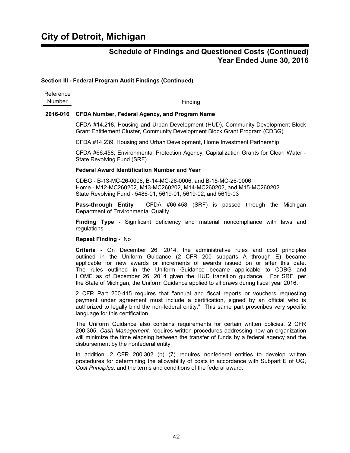#### **Section III - Federal Program Audit Findings (Continued)**

| Reference |         |
|-----------|---------|
| Number    | Finding |

#### **2016-016 CFDA Number, Federal Agency, and Program Name**

CFDA #14.218, Housing and Urban Development (HUD), Community Development Block Grant Entitlement Cluster, Community Development Block Grant Program (CDBG)

CFDA #14.239, Housing and Urban Development, Home Investment Partnership

CFDA #66.458, Environmental Protection Agency, Capitalization Grants for Clean Water - State Revolving Fund (SRF)

#### **Federal Award Identification Number and Year**

CDBG - B-13-MC-26-0006, B-14-MC-26-0006, and B-15-MC-26-0006 Home - M12-MC260202, M13-MC260202, M14-MC260202, and M15-MC260202 State Revolving Fund - 5486-01, 5619-01, 5619-02, and 5619-03

**Pass-through Entity** - CFDA #66.458 (SRF) is passed through the Michigan Department of Environmental Quality

**Finding Type** - Significant deficiency and material noncompliance with laws and regulations

#### **Repeat Finding** - No

**Criteria** - On December 26, 2014, the administrative rules and cost principles outlined in the Uniform Guidance (2 CFR 200 subparts A through E) became applicable for new awards or increments of awards issued on or after this date. The rules outlined in the Uniform Guidance became applicable to CDBG and HOME as of December 26, 2014 given the HUD transition guidance. For SRF, per the State of Michigan, the Uniform Guidance applied to all draws during fiscal year 2016.

2 CFR Part 200.415 requires that "annual and fiscal reports or vouchers requesting payment under agreement must include a certification, signed by an official who is authorized to legally bind the non-federal entity." This same part proscribes very specific language for this certification.

The Uniform Guidance also contains requirements for certain written policies. 2 CFR 200.305, *Cash Management,* requires written procedures addressing how an organization will minimize the time elapsing between the transfer of funds by a federal agency and the disbursement by the nonfederal entity.

In addition, 2 CFR 200.302 (b) (7) requires nonfederal entities to develop written procedures for determining the allowability of costs in accordance with Subpart E of UG, *Cost Principles*, and the terms and conditions of the federal award.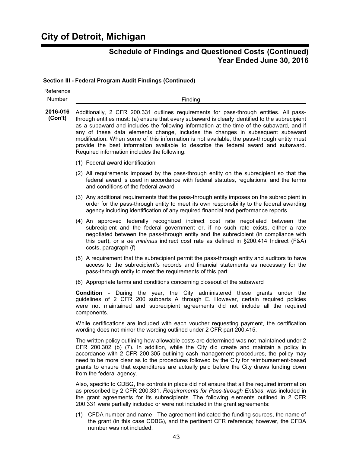#### **Section III - Federal Program Audit Findings (Continued)**

| Reference<br>Number | Finding                                                                                                                                                                                                                                                                                                                                                                                                                                                                                                                                                                                                     |
|---------------------|-------------------------------------------------------------------------------------------------------------------------------------------------------------------------------------------------------------------------------------------------------------------------------------------------------------------------------------------------------------------------------------------------------------------------------------------------------------------------------------------------------------------------------------------------------------------------------------------------------------|
| 2016-016<br>(Con't) | Additionally, 2 CFR 200.331 outlines requirements for pass-through entities. All pass-<br>through entities must: (a) ensure that every subaward is clearly identified to the subrecipient<br>as a subaward and includes the following information at the time of the subaward, and if<br>any of these data elements change, includes the changes in subsequent subaward<br>modification. When some of this information is not available, the pass-through entity must<br>provide the best information available to describe the federal award and subaward.<br>Required information includes the following: |
|                     | (1) Federal award identification                                                                                                                                                                                                                                                                                                                                                                                                                                                                                                                                                                            |
|                     | (2) All requirements imposed by the pass-through entity on the subrecipient so that the<br>federal award is used in accordance with federal statutes, regulations, and the terms<br>and conditions of the federal award                                                                                                                                                                                                                                                                                                                                                                                     |
|                     | (3) Any additional requirements that the pass-through entity imposes on the subrecipient in<br>order for the pass-through entity to meet its own responsibility to the federal awarding<br>agency including identification of any required financial and performance reports                                                                                                                                                                                                                                                                                                                                |
|                     | (4) An approved federally recognized indirect cost rate negotiated between the<br>subrecipient and the federal government or, if no such rate exists, either a rate<br>negotiated between the pass-through entity and the subrecipient (in compliance with<br>this part), or a de minimus indirect cost rate as defined in §200.414 Indirect (F&A)<br>costs, paragraph (f)                                                                                                                                                                                                                                  |
|                     | (5) A requirement that the subrecipient permit the pass-through entity and auditors to have<br>access to the subrecipient's records and financial statements as necessary for the<br>pass-through entity to meet the requirements of this part                                                                                                                                                                                                                                                                                                                                                              |
|                     | (6) Appropriate terms and conditions concerning closeout of the subaward                                                                                                                                                                                                                                                                                                                                                                                                                                                                                                                                    |
|                     | <b>Condition</b> - During the year, the City administered these grants under the<br>guidelines of 2 CFR 200 subparts A through E. However, certain required policies<br>were not maintained and subrecipient agreements did not include all the required<br>components.                                                                                                                                                                                                                                                                                                                                     |
|                     | While certifications are included with each voucher requesting payment, the certification<br>wording does not mirror the wording outlined under 2 CFR part 200.415.                                                                                                                                                                                                                                                                                                                                                                                                                                         |
|                     | The written policy outlining how allowable costs are determined was not maintained under 2<br>CFR 200.302 (b) (7). In addition, while the City did create and maintain a policy in<br>accordance with 2 CFR 200.305 outlining cash management procedures, the policy may<br>need to be more clear as to the procedures followed by the City for reimbursement-based<br>grants to ensure that expenditures are actually paid before the City draws funding down<br>from the federal agency.                                                                                                                  |
|                     | Also, specific to CDBG, the controls in place did not ensure that all the required information<br>as prescribed by 2 CFR 200.331, Requirements for Pass-through Entities, was included in<br>the grant agreements for its subrecipients. The following elements outlined in 2 CFR<br>200.331 were partially included or were not included in the grant agreements:                                                                                                                                                                                                                                          |

(1) CFDA number and name - The agreement indicated the funding sources, the name of the grant (in this case CDBG), and the pertinent CFR reference; however, the CFDA number was not included.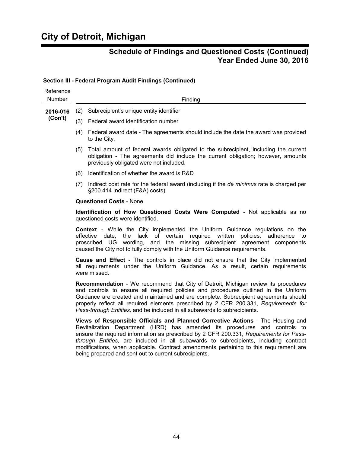# **City of Detroit, Michigan**

## **Schedule of Findings and Questioned Costs (Continued) Year Ended June 30, 2016**

#### **Section III - Federal Program Audit Findings (Continued)**

| Reference<br>Number |     | Finding                                                                                                                                                                                                                                                                                                                                                                                                                                                                                            |
|---------------------|-----|----------------------------------------------------------------------------------------------------------------------------------------------------------------------------------------------------------------------------------------------------------------------------------------------------------------------------------------------------------------------------------------------------------------------------------------------------------------------------------------------------|
| 2016-016            | (2) | Subrecipient's unique entity identifier                                                                                                                                                                                                                                                                                                                                                                                                                                                            |
| (Con't)             |     | (3) Federal award identification number                                                                                                                                                                                                                                                                                                                                                                                                                                                            |
|                     |     | (4) Federal award date - The agreements should include the date the award was provided<br>to the City.                                                                                                                                                                                                                                                                                                                                                                                             |
|                     | (5) | Total amount of federal awards obligated to the subrecipient, including the current<br>obligation - The agreements did include the current obligation; however, amounts<br>previously obligated were not included.                                                                                                                                                                                                                                                                                 |
|                     | (6) | Identification of whether the award is R&D                                                                                                                                                                                                                                                                                                                                                                                                                                                         |
|                     |     | (7) Indirect cost rate for the federal award (including if the <i>de minimus</i> rate is charged per<br>§200.414 Indirect (F&A) costs).                                                                                                                                                                                                                                                                                                                                                            |
|                     |     | <b>Questioned Costs - None</b>                                                                                                                                                                                                                                                                                                                                                                                                                                                                     |
|                     |     | Identification of How Questioned Costs Were Computed - Not applicable as no<br>questioned costs were identified.                                                                                                                                                                                                                                                                                                                                                                                   |
|                     |     | <b>Context</b> - While the City implemented the Uniform Guidance regulations on the<br>required<br>written<br>policies, adherence to<br>effective date,<br>the<br>lack of<br>certain<br>proscribed UG<br>wording,<br>and the missing subrecipient<br>agreement components<br>caused the City not to fully comply with the Uniform Guidance requirements.                                                                                                                                           |
|                     |     | <b>Cause and Effect</b> - The controls in place did not ensure that the City implemented<br>all requirements under the Uniform Guidance. As a result, certain requirements<br>were missed.                                                                                                                                                                                                                                                                                                         |
|                     |     | <b>Recommendation</b> - We recommend that City of Detroit, Michigan review its procedures<br>and controls to ensure all required policies and procedures outlined in the Uniform<br>Guidance are created and maintained and are complete. Subrecipient agreements should<br>properly reflect all required elements prescribed by 2 CFR 200.331, Requirements for<br>Pass-through Entities, and be included in all subawards to subrecipients.                                                      |
|                     |     | Views of Responsible Officials and Planned Corrective Actions - The Housing and<br>Revitalization Department (HRD) has amended its procedures and controls to<br>ensure the required information as prescribed by 2 CFR 200.331, Requirements for Pass-<br>through Entities, are included in all subawards to subrecipients, including contract<br>modifications, when applicable. Contract amendments pertaining to this requirement are<br>being prepared and sent out to current subrecipients. |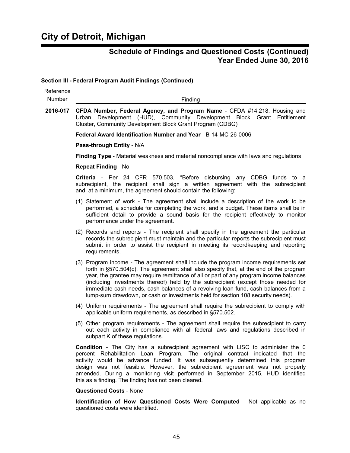#### **Section III - Federal Program Audit Findings (Continued)**

| Reference<br>Number | Finding                                                                                                                                                                                                                                                                                                                                                                                                                                                                                                                                |
|---------------------|----------------------------------------------------------------------------------------------------------------------------------------------------------------------------------------------------------------------------------------------------------------------------------------------------------------------------------------------------------------------------------------------------------------------------------------------------------------------------------------------------------------------------------------|
| 2016-017            | CFDA Number, Federal Agency, and Program Name - CFDA #14.218, Housing and<br>Urban Development (HUD), Community Development Block Grant Entitlement<br>Cluster, Community Development Block Grant Program (CDBG)                                                                                                                                                                                                                                                                                                                       |
|                     | Federal Award Identification Number and Year - B-14-MC-26-0006                                                                                                                                                                                                                                                                                                                                                                                                                                                                         |
|                     | Pass-through Entity - N/A                                                                                                                                                                                                                                                                                                                                                                                                                                                                                                              |
|                     | Finding Type - Material weakness and material noncompliance with laws and regulations                                                                                                                                                                                                                                                                                                                                                                                                                                                  |
|                     | <b>Repeat Finding - No</b>                                                                                                                                                                                                                                                                                                                                                                                                                                                                                                             |
|                     | Criteria - Per 24 CFR 570.503, "Before disbursing any CDBG funds to a<br>subrecipient, the recipient shall sign a written agreement with the subrecipient<br>and, at a minimum, the agreement should contain the following:                                                                                                                                                                                                                                                                                                            |
|                     | (1) Statement of work - The agreement shall include a description of the work to be<br>performed, a schedule for completing the work, and a budget. These items shall be in<br>sufficient detail to provide a sound basis for the recipient effectively to monitor<br>performance under the agreement.                                                                                                                                                                                                                                 |
|                     | (2) Records and reports - The recipient shall specify in the agreement the particular<br>records the subrecipient must maintain and the particular reports the subrecipient must<br>submit in order to assist the recipient in meeting its recordkeeping and reporting<br>requirements.                                                                                                                                                                                                                                                |
|                     | (3) Program income - The agreement shall include the program income requirements set<br>forth in §570.504(c). The agreement shall also specify that, at the end of the program<br>year, the grantee may require remittance of all or part of any program income balances<br>(including investments thereof) held by the subrecipient (except those needed for<br>immediate cash needs, cash balances of a revolving loan fund, cash balances from a<br>lump-sum drawdown, or cash or investments held for section 108 security needs). |
|                     | (4) Uniform requirements - The agreement shall require the subrecipient to comply with<br>applicable uniform requirements, as described in §570.502.                                                                                                                                                                                                                                                                                                                                                                                   |
|                     | (5) Other program requirements - The agreement shall require the subrecipient to carry<br>out each activity in compliance with all federal laws and regulations described in<br>subpart K of these regulations.                                                                                                                                                                                                                                                                                                                        |
|                     | <b>Condition</b> - The City has a subrecipient agreement with LISC to administer the 0<br>percent Rehabilitation Loan Program. The original contract indicated that the<br>activity would be advance funded. It was subsequently determined this program<br>design was not feasible. However, the subrecipient agreement was not properly<br>amended. During a monitoring visit performed in September 2015, HUD identified<br>this as a finding. The finding has not been cleared.                                                    |

#### **Questioned Costs** - None

**Identification of How Questioned Costs Were Computed** - Not applicable as no questioned costs were identified.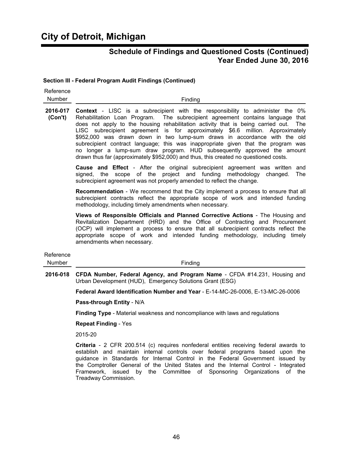#### **Section III - Federal Program Audit Findings (Continued)**

| Reference<br>Number | Finding                                                                                                                                                                                                                                                                                                                                                                                                                                                                                                                                                                                                                                                                                 |
|---------------------|-----------------------------------------------------------------------------------------------------------------------------------------------------------------------------------------------------------------------------------------------------------------------------------------------------------------------------------------------------------------------------------------------------------------------------------------------------------------------------------------------------------------------------------------------------------------------------------------------------------------------------------------------------------------------------------------|
| 2016-017<br>(Con't) | <b>Context</b> - LISC is a subrecipient with the responsibility to administer the 0%<br>Rehabilitation Loan Program. The subrecipient agreement contains language that<br>does not apply to the housing rehabilitation activity that is being carried out.<br>The<br>LISC subrecipient agreement is for approximately \$6.6 million. Approximately<br>\$952,000 was drawn down in two lump-sum draws in accordance with the old<br>subrecipient contract language; this was inappropriate given that the program was<br>no longer a lump-sum draw program. HUD subsequently approved the amount<br>drawn thus far (approximately \$952,000) and thus, this created no questioned costs. |
|                     | <b>Cause and Effect</b> - After the original subrecipient agreement was written and<br>signed, the scope of the project and funding methodology<br>changed.<br>The<br>subrecipient agreement was not properly amended to reflect the change.                                                                                                                                                                                                                                                                                                                                                                                                                                            |
|                     | <b>Recommendation</b> - We recommend that the City implement a process to ensure that all<br>subrecipient contracts reflect the appropriate scope of work and intended funding<br>methodology, including timely amendments when necessary.                                                                                                                                                                                                                                                                                                                                                                                                                                              |
|                     | Views of Responsible Officials and Planned Corrective Actions - The Housing and<br>Revitalization Department (HRD) and the Office of Contracting and Procurement<br>(OCP) will implement a process to ensure that all subrecipient contracts reflect the<br>appropriate scope of work and intended funding methodology, including timely<br>amendments when necessary.                                                                                                                                                                                                                                                                                                                  |
| Reference<br>Number | Finding                                                                                                                                                                                                                                                                                                                                                                                                                                                                                                                                                                                                                                                                                 |
| 2016-018            | CFDA Number, Federal Agency, and Program Name - CFDA #14.231, Housing and<br>Urban Development (HUD), Emergency Solutions Grant (ESG)                                                                                                                                                                                                                                                                                                                                                                                                                                                                                                                                                   |
|                     | Federal Award Identification Number and Year - E-14-MC-26-0006, E-13-MC-26-0006                                                                                                                                                                                                                                                                                                                                                                                                                                                                                                                                                                                                         |
|                     | Pass-through Entity - N/A                                                                                                                                                                                                                                                                                                                                                                                                                                                                                                                                                                                                                                                               |
|                     | Finding Type - Material weakness and noncompliance with laws and regulations                                                                                                                                                                                                                                                                                                                                                                                                                                                                                                                                                                                                            |
|                     | <b>Repeat Finding - Yes</b>                                                                                                                                                                                                                                                                                                                                                                                                                                                                                                                                                                                                                                                             |

2015-20

**Criteria** - 2 CFR 200.514 (c) requires nonfederal entities receiving federal awards to establish and maintain internal controls over federal programs based upon the guidance in Standards for Internal Control in the Federal Government issued by the Comptroller General of the United States and the Internal Control - Integrated Framework, issued by the Committee of Sponsoring Organizations of the Treadway Commission.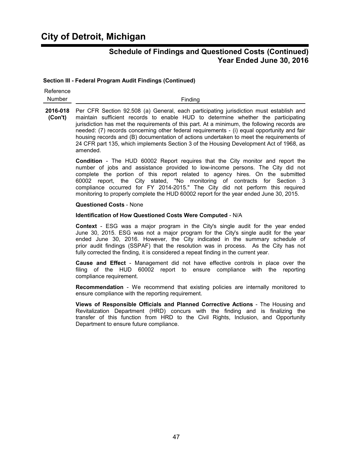# **City of Detroit, Michigan**

### **Schedule of Findings and Questioned Costs (Continued) Year Ended June 30, 2016**

#### **Section III - Federal Program Audit Findings (Continued)**

| Reference     |         |
|---------------|---------|
| <b>Number</b> | Finding |

**2016-018** Per CFR Section 92.508 (a) General, each participating jurisdiction must establish and **(Con't)** maintain sufficient records to enable HUD to determine whether the participating jurisdiction has met the requirements of this part. At a minimum, the following records are needed: (7) records concerning other federal requirements - (i) equal opportunity and fair housing records and (B) documentation of actions undertaken to meet the requirements of 24 CFR part 135, which implements Section 3 of the Housing Development Act of 1968, as amended.

> **Condition** - The HUD 60002 Report requires that the City monitor and report the number of jobs and assistance provided to low-income persons. The City did not complete the portion of this report related to agency hires. On the submitted 60002 report, the City stated, "No monitoring of contracts for Section 3 compliance occurred for FY 2014-2015." The City did not perform this required monitoring to properly complete the HUD 60002 report for the year ended June 30, 2015.

#### **Questioned Costs** - None

#### **Identification of How Questioned Costs Were Computed** - N/A

**Context** - ESG was a major program in the City's single audit for the year ended June 30, 2015. ESG was not a major program for the City's single audit for the year ended June 30, 2016. However, the City indicated in the summary schedule of prior audit findings (SSPAF) that the resolution was in process. As the City has not fully corrected the finding, it is considered a repeat finding in the current year.

**Cause and Effect** - Management did not have effective controls in place over the filing of the HUD 60002 report to ensure compliance with the reporting compliance requirement.

**Recommendation** - We recommend that existing policies are internally monitored to ensure compliance with the reporting requirement.

**Views of Responsible Officials and Planned Corrective Actions** - The Housing and Revitalization Department (HRD) concurs with the finding and is finalizing the transfer of this function from HRD to the Civil Rights, Inclusion, and Opportunity Department to ensure future compliance.